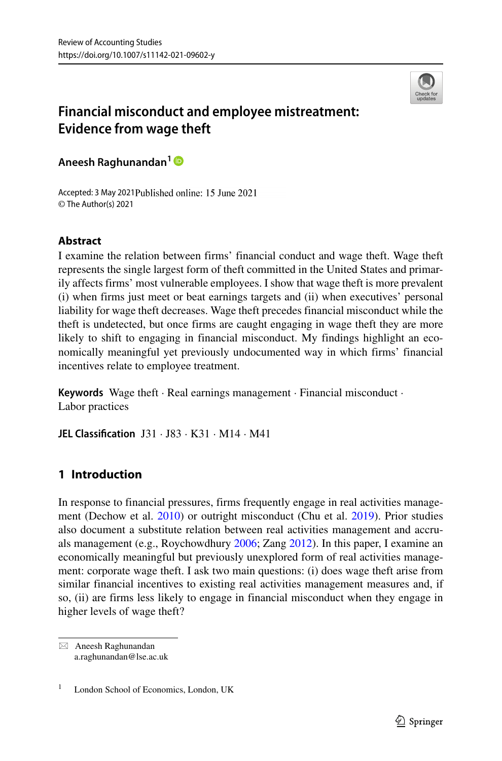

# **Financial misconduct and employee mistreatment: Evidence from wage theft**

**Aneesh Raghunandan<sup>1</sup>**

Accepted: 3 May 2021 Published online: 15 June 2021 © The Author(s) 2021

## **Abstract**

I examine the relation between firms' financial conduct and wage theft. Wage theft represents the single largest form of theft committed in the United States and primarily affects firms' most vulnerable employees. I show that wage theft is more prevalent (i) when firms just meet or beat earnings targets and (ii) when executives' personal liability for wage theft decreases. Wage theft precedes financial misconduct while the theft is undetected, but once firms are caught engaging in wage theft they are more likely to shift to engaging in financial misconduct. My findings highlight an economically meaningful yet previously undocumented way in which firms' financial incentives relate to employee treatment.

**Keywords** Wage theft · Real earnings management · Financial misconduct · Labor practices

**JEL Classification** J31 · J83 · K31 · M14 · M41

## **1 Introduction**

In response to financial pressures, firms frequently engage in real activities management (Dechow et al. [2010\)](#page-37-0) or outright misconduct (Chu et al. [2019\)](#page-37-1). Prior studies also document a substitute relation between real activities management and accruals management (e.g., Roychowdhury [2006;](#page-38-0) Zang [2012\)](#page-38-1). In this paper, I examine an economically meaningful but previously unexplored form of real activities management: corporate wage theft. I ask two main questions: (i) does wage theft arise from similar financial incentives to existing real activities management measures and, if so, (ii) are firms less likely to engage in financial misconduct when they engage in higher levels of wage theft?

- Aneesh Raghunandan [a.raghunandan@lse.ac.uk](mailto: a.raghunandan@lse.ac.uk)

London School of Economics, London, UK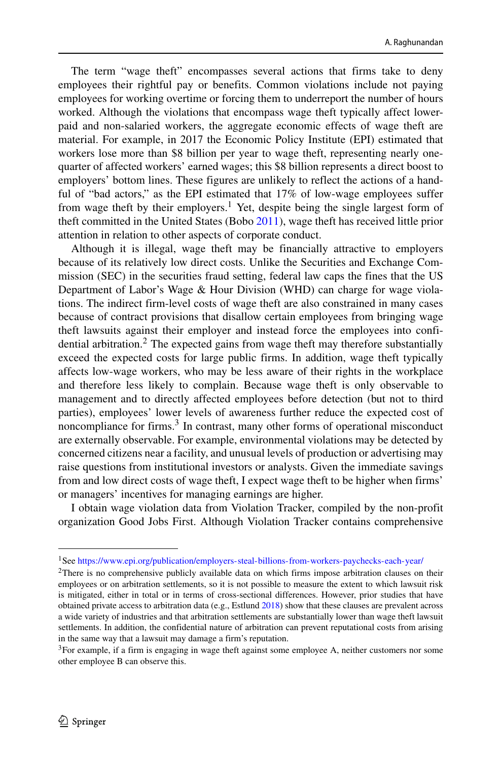The term "wage theft" encompasses several actions that firms take to deny employees their rightful pay or benefits. Common violations include not paying employees for working overtime or forcing them to underreport the number of hours worked. Although the violations that encompass wage theft typically affect lowerpaid and non-salaried workers, the aggregate economic effects of wage theft are material. For example, in 2017 the Economic Policy Institute (EPI) estimated that workers lose more than \$8 billion per year to wage theft, representing nearly onequarter of affected workers' earned wages; this \$8 billion represents a direct boost to employers' bottom lines. These figures are unlikely to reflect the actions of a handful of "bad actors," as the EPI estimated that 17% of low-wage employees suffer from wage theft by their employers.<sup>1</sup> Yet, despite being the single largest form of theft committed in the United States (Bobo [2011\)](#page-36-0), wage theft has received little prior attention in relation to other aspects of corporate conduct.

Although it is illegal, wage theft may be financially attractive to employers because of its relatively low direct costs. Unlike the Securities and Exchange Commission (SEC) in the securities fraud setting, federal law caps the fines that the US Department of Labor's Wage & Hour Division (WHD) can charge for wage violations. The indirect firm-level costs of wage theft are also constrained in many cases because of contract provisions that disallow certain employees from bringing wage theft lawsuits against their employer and instead force the employees into confi-dential arbitration.<sup>[2](#page-1-1)</sup> The expected gains from wage theft may therefore substantially exceed the expected costs for large public firms. In addition, wage theft typically affects low-wage workers, who may be less aware of their rights in the workplace and therefore less likely to complain. Because wage theft is only observable to management and to directly affected employees before detection (but not to third parties), employees' lower levels of awareness further reduce the expected cost of noncompliance for firms. $3$  In contrast, many other forms of operational misconduct are externally observable. For example, environmental violations may be detected by concerned citizens near a facility, and unusual levels of production or advertising may raise questions from institutional investors or analysts. Given the immediate savings from and low direct costs of wage theft, I expect wage theft to be higher when firms' or managers' incentives for managing earnings are higher.

I obtain wage violation data from Violation Tracker, compiled by the non-profit organization Good Jobs First. Although Violation Tracker contains comprehensive

<sup>1</sup>See <https://www.epi.org/publication/employers-steal-billions-from-workers-paychecks-each-year/>

<span id="page-1-1"></span><span id="page-1-0"></span><sup>&</sup>lt;sup>2</sup>There is no comprehensive publicly available data on which firms impose arbitration clauses on their employees or on arbitration settlements, so it is not possible to measure the extent to which lawsuit risk is mitigated, either in total or in terms of cross-sectional differences. However, prior studies that have obtained private access to arbitration data (e.g., Estlund [2018\)](#page-37-2) show that these clauses are prevalent across a wide variety of industries and that arbitration settlements are substantially lower than wage theft lawsuit settlements. In addition, the confidential nature of arbitration can prevent reputational costs from arising in the same way that a lawsuit may damage a firm's reputation.

<span id="page-1-2"></span> $3$ For example, if a firm is engaging in wage theft against some employee A, neither customers nor some other employee B can observe this.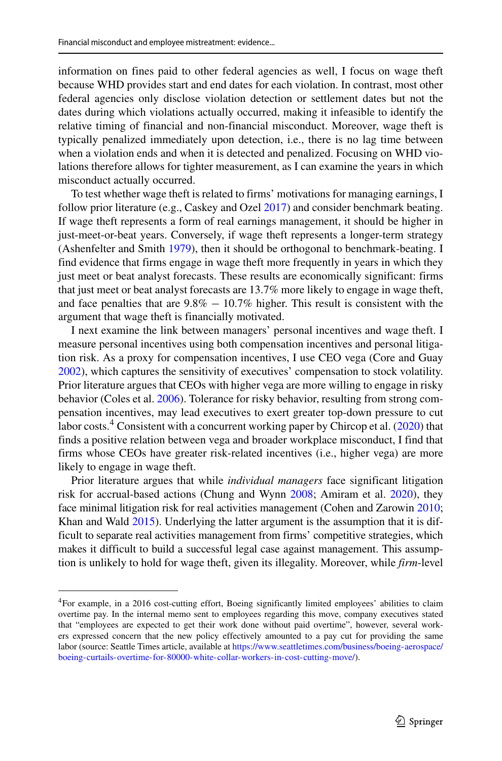information on fines paid to other federal agencies as well, I focus on wage theft because WHD provides start and end dates for each violation. In contrast, most other federal agencies only disclose violation detection or settlement dates but not the dates during which violations actually occurred, making it infeasible to identify the relative timing of financial and non-financial misconduct. Moreover, wage theft is typically penalized immediately upon detection, i.e., there is no lag time between when a violation ends and when it is detected and penalized. Focusing on WHD violations therefore allows for tighter measurement, as I can examine the years in which misconduct actually occurred.

To test whether wage theft is related to firms' motivations for managing earnings, I follow prior literature (e.g., Caskey and Ozel [2017\)](#page-37-3) and consider benchmark beating. If wage theft represents a form of real earnings management, it should be higher in just-meet-or-beat years. Conversely, if wage theft represents a longer-term strategy (Ashenfelter and Smith [1979\)](#page-36-1), then it should be orthogonal to benchmark-beating. I find evidence that firms engage in wage theft more frequently in years in which they just meet or beat analyst forecasts. These results are economically significant: firms that just meet or beat analyst forecasts are 13.7% more likely to engage in wage theft, and face penalties that are  $9.8\% - 10.7\%$  higher. This result is consistent with the argument that wage theft is financially motivated.

I next examine the link between managers' personal incentives and wage theft. I measure personal incentives using both compensation incentives and personal litigation risk. As a proxy for compensation incentives, I use CEO vega (Core and Guay [2002\)](#page-37-4), which captures the sensitivity of executives' compensation to stock volatility. Prior literature argues that CEOs with higher vega are more willing to engage in risky behavior (Coles et al. [2006\)](#page-37-5). Tolerance for risky behavior, resulting from strong compensation incentives, may lead executives to exert greater top-down pressure to cut labor costs.<sup>4</sup> Consistent with a concurrent working paper by Chircop et al. [\(2020\)](#page-37-6) that finds a positive relation between vega and broader workplace misconduct, I find that firms whose CEOs have greater risk-related incentives (i.e., higher vega) are more likely to engage in wage theft.

Prior literature argues that while *individual managers* face significant litigation risk for accrual-based actions (Chung and Wynn [2008;](#page-37-7) Amiram et al. [2020\)](#page-36-2), they face minimal litigation risk for real activities management (Cohen and Zarowin [2010;](#page-37-8) Khan and Wald [2015\)](#page-37-9). Underlying the latter argument is the assumption that it is difficult to separate real activities management from firms' competitive strategies, which makes it difficult to build a successful legal case against management. This assumption is unlikely to hold for wage theft, given its illegality. Moreover, while *firm*-level

<span id="page-2-0"></span><sup>4</sup>For example, in a 2016 cost-cutting effort, Boeing significantly limited employees' abilities to claim overtime pay. In the internal memo sent to employees regarding this move, company executives stated that "employees are expected to get their work done without paid overtime", however, several workers expressed concern that the new policy effectively amounted to a pay cut for providing the same labor (source: Seattle Times article, available at [https://www.seattletimes.com/business/boeing-aerospace/](https://www.seattletimes.com/business/boeing-aerospace/boeing-curtails-overtime-for-80000-white-collar-workers-in-cost-cutting-move/) [boeing-curtails-overtime-for-80000-white-collar-workers-in-cost-cutting-move/\)](https://www.seattletimes.com/business/boeing-aerospace/boeing-curtails-overtime-for-80000-white-collar-workers-in-cost-cutting-move/).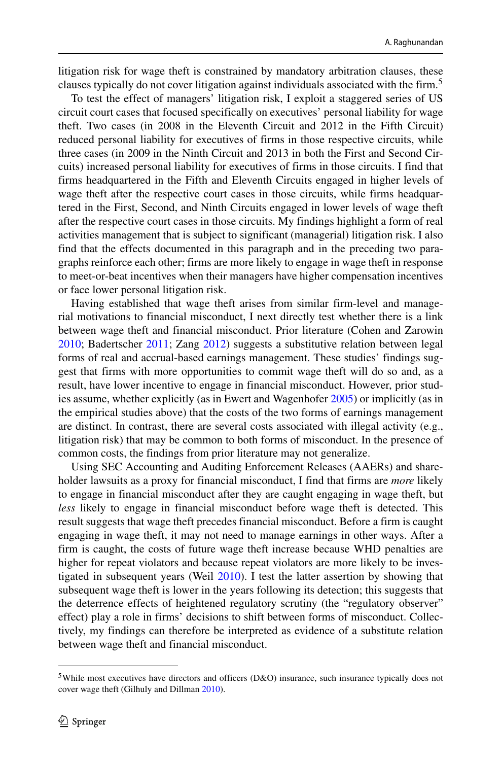litigation risk for wage theft is constrained by mandatory arbitration clauses, these clauses typically do not cover litigation against individuals associated with the firm.<sup>5</sup>

To test the effect of managers' litigation risk, I exploit a staggered series of US circuit court cases that focused specifically on executives' personal liability for wage theft. Two cases (in 2008 in the Eleventh Circuit and 2012 in the Fifth Circuit) reduced personal liability for executives of firms in those respective circuits, while three cases (in 2009 in the Ninth Circuit and 2013 in both the First and Second Circuits) increased personal liability for executives of firms in those circuits. I find that firms headquartered in the Fifth and Eleventh Circuits engaged in higher levels of wage theft after the respective court cases in those circuits, while firms headquartered in the First, Second, and Ninth Circuits engaged in lower levels of wage theft after the respective court cases in those circuits. My findings highlight a form of real activities management that is subject to significant (managerial) litigation risk. I also find that the effects documented in this paragraph and in the preceding two paragraphs reinforce each other; firms are more likely to engage in wage theft in response to meet-or-beat incentives when their managers have higher compensation incentives or face lower personal litigation risk.

Having established that wage theft arises from similar firm-level and managerial motivations to financial misconduct, I next directly test whether there is a link between wage theft and financial misconduct. Prior literature (Cohen and Zarowin [2010;](#page-37-8) Badertscher [2011;](#page-36-3) Zang [2012\)](#page-38-1) suggests a substitutive relation between legal forms of real and accrual-based earnings management. These studies' findings suggest that firms with more opportunities to commit wage theft will do so and, as a result, have lower incentive to engage in financial misconduct. However, prior studies assume, whether explicitly (as in Ewert and Wagenhofer [2005\)](#page-37-10) or implicitly (as in the empirical studies above) that the costs of the two forms of earnings management are distinct. In contrast, there are several costs associated with illegal activity (e.g., litigation risk) that may be common to both forms of misconduct. In the presence of common costs, the findings from prior literature may not generalize.

Using SEC Accounting and Auditing Enforcement Releases (AAERs) and shareholder lawsuits as a proxy for financial misconduct, I find that firms are *more* likely to engage in financial misconduct after they are caught engaging in wage theft, but *less* likely to engage in financial misconduct before wage theft is detected. This result suggests that wage theft precedes financial misconduct. Before a firm is caught engaging in wage theft, it may not need to manage earnings in other ways. After a firm is caught, the costs of future wage theft increase because WHD penalties are higher for repeat violators and because repeat violators are more likely to be investigated in subsequent years (Weil [2010\)](#page-38-2). I test the latter assertion by showing that subsequent wage theft is lower in the years following its detection; this suggests that the deterrence effects of heightened regulatory scrutiny (the "regulatory observer" effect) play a role in firms' decisions to shift between forms of misconduct. Collectively, my findings can therefore be interpreted as evidence of a substitute relation between wage theft and financial misconduct.

<span id="page-3-0"></span><sup>5</sup>While most executives have directors and officers (D&O) insurance, such insurance typically does not cover wage theft (Gilhuly and Dillman [2010\)](#page-37-11).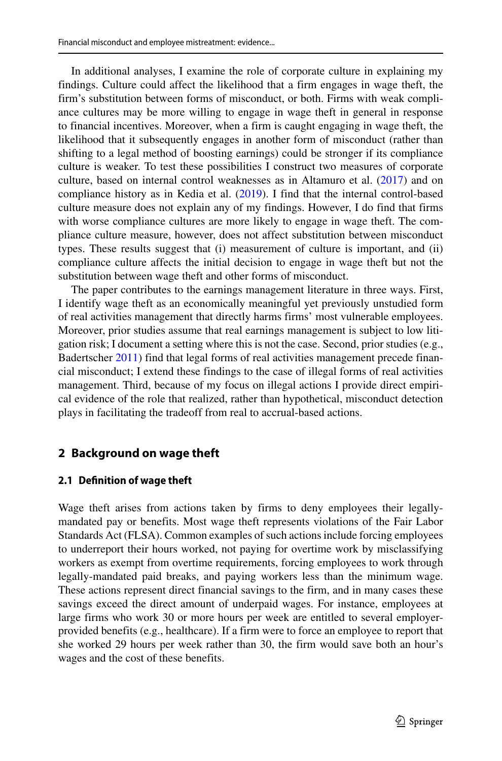In additional analyses, I examine the role of corporate culture in explaining my findings. Culture could affect the likelihood that a firm engages in wage theft, the firm's substitution between forms of misconduct, or both. Firms with weak compliance cultures may be more willing to engage in wage theft in general in response to financial incentives. Moreover, when a firm is caught engaging in wage theft, the likelihood that it subsequently engages in another form of misconduct (rather than shifting to a legal method of boosting earnings) could be stronger if its compliance culture is weaker. To test these possibilities I construct two measures of corporate culture, based on internal control weaknesses as in Altamuro et al. [\(2017\)](#page-36-4) and on compliance history as in Kedia et al. [\(2019\)](#page-37-12). I find that the internal control-based culture measure does not explain any of my findings. However, I do find that firms with worse compliance cultures are more likely to engage in wage theft. The compliance culture measure, however, does not affect substitution between misconduct types. These results suggest that (i) measurement of culture is important, and (ii) compliance culture affects the initial decision to engage in wage theft but not the substitution between wage theft and other forms of misconduct.

The paper contributes to the earnings management literature in three ways. First, I identify wage theft as an economically meaningful yet previously unstudied form of real activities management that directly harms firms' most vulnerable employees. Moreover, prior studies assume that real earnings management is subject to low litigation risk; I document a setting where this is not the case. Second, prior studies (e.g., Badertscher [2011\)](#page-36-3) find that legal forms of real activities management precede financial misconduct; I extend these findings to the case of illegal forms of real activities management. Third, because of my focus on illegal actions I provide direct empirical evidence of the role that realized, rather than hypothetical, misconduct detection plays in facilitating the tradeoff from real to accrual-based actions.

#### <span id="page-4-0"></span>**2 Background on wage theft**

#### **2.1 Definition of wage theft**

Wage theft arises from actions taken by firms to deny employees their legallymandated pay or benefits. Most wage theft represents violations of the Fair Labor Standards Act (FLSA). Common examples of such actions include forcing employees to underreport their hours worked, not paying for overtime work by misclassifying workers as exempt from overtime requirements, forcing employees to work through legally-mandated paid breaks, and paying workers less than the minimum wage. These actions represent direct financial savings to the firm, and in many cases these savings exceed the direct amount of underpaid wages. For instance, employees at large firms who work 30 or more hours per week are entitled to several employerprovided benefits (e.g., healthcare). If a firm were to force an employee to report that she worked 29 hours per week rather than 30, the firm would save both an hour's wages and the cost of these benefits.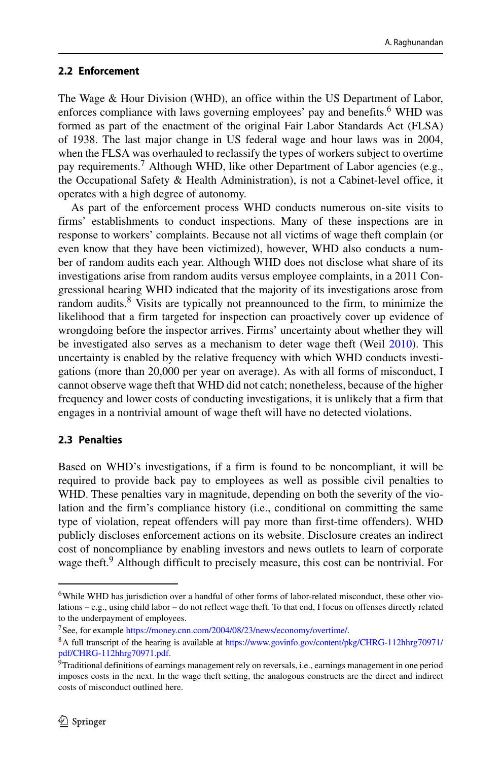#### **2.2 Enforcement**

The Wage & Hour Division (WHD), an office within the US Department of Labor, enforces compliance with laws governing employees' pay and benefits.<sup>[6](#page-5-0)</sup> WHD was formed as part of the enactment of the original Fair Labor Standards Act (FLSA) of 1938. The last major change in US federal wage and hour laws was in 2004, when the FLSA was overhauled to reclassify the types of workers subject to overtime pay requirements.[7](#page-5-1) Although WHD, like other Department of Labor agencies (e.g., the Occupational Safety & Health Administration), is not a Cabinet-level office, it operates with a high degree of autonomy.

As part of the enforcement process WHD conducts numerous on-site visits to firms' establishments to conduct inspections. Many of these inspections are in response to workers' complaints. Because not all victims of wage theft complain (or even know that they have been victimized), however, WHD also conducts a number of random audits each year. Although WHD does not disclose what share of its investigations arise from random audits versus employee complaints, in a 2011 Congressional hearing WHD indicated that the majority of its investigations arose from random audits.<sup>8</sup> Visits are typically not preannounced to the firm, to minimize the likelihood that a firm targeted for inspection can proactively cover up evidence of wrongdoing before the inspector arrives. Firms' uncertainty about whether they will be investigated also serves as a mechanism to deter wage theft (Weil [2010\)](#page-38-2). This uncertainty is enabled by the relative frequency with which WHD conducts investigations (more than 20,000 per year on average). As with all forms of misconduct, I cannot observe wage theft that WHD did not catch; nonetheless, because of the higher frequency and lower costs of conducting investigations, it is unlikely that a firm that engages in a nontrivial amount of wage theft will have no detected violations.

## **2.3 Penalties**

Based on WHD's investigations, if a firm is found to be noncompliant, it will be required to provide back pay to employees as well as possible civil penalties to WHD. These penalties vary in magnitude, depending on both the severity of the violation and the firm's compliance history (i.e., conditional on committing the same type of violation, repeat offenders will pay more than first-time offenders). WHD publicly discloses enforcement actions on its website. Disclosure creates an indirect cost of noncompliance by enabling investors and news outlets to learn of corporate wage theft.<sup>9</sup> Although difficult to precisely measure, this cost can be nontrivial. For

<span id="page-5-0"></span><sup>6</sup>While WHD has jurisdiction over a handful of other forms of labor-related misconduct, these other violations – e.g., using child labor – do not reflect wage theft. To that end, I focus on offenses directly related to the underpayment of employees.

<sup>7</sup>See, for example [https://money.cnn.com/2004/08/23/news/economy/overtime/.](https://money.cnn.com/2004/08/23/news/economy/overtime/)

<span id="page-5-2"></span><span id="page-5-1"></span><sup>8</sup>A full transcript of the hearing is available at [https://www.govinfo.gov/content/pkg/CHRG-112hhrg70971/](https://www.govinfo.gov/content/pkg/CHRG-112hhrg70971/pdf/CHRG-112hhrg70971.pdf) [pdf/CHRG-112hhrg70971.pdf.](https://www.govinfo.gov/content/pkg/CHRG-112hhrg70971/pdf/CHRG-112hhrg70971.pdf)

<span id="page-5-3"></span><sup>&</sup>lt;sup>9</sup>Traditional definitions of earnings management rely on reversals, i.e., earnings management in one period imposes costs in the next. In the wage theft setting, the analogous constructs are the direct and indirect costs of misconduct outlined here.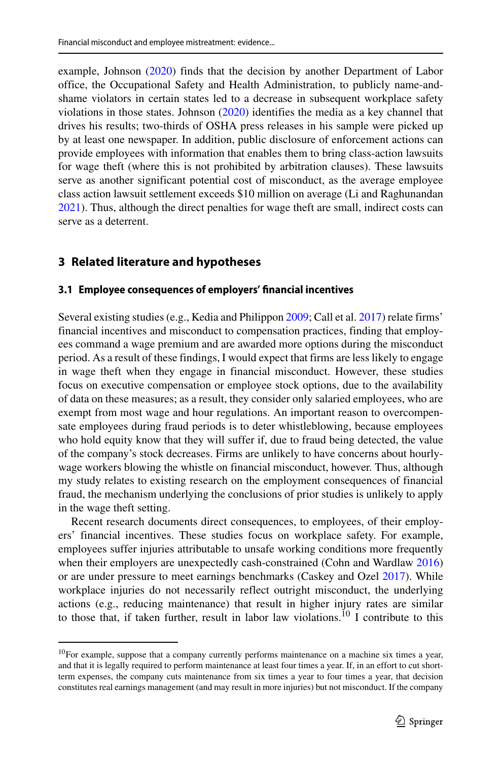example, Johnson [\(2020\)](#page-37-13) finds that the decision by another Department of Labor office, the Occupational Safety and Health Administration, to publicly name-andshame violators in certain states led to a decrease in subsequent workplace safety violations in those states. Johnson [\(2020\)](#page-37-13) identifies the media as a key channel that drives his results; two-thirds of OSHA press releases in his sample were picked up by at least one newspaper. In addition, public disclosure of enforcement actions can provide employees with information that enables them to bring class-action lawsuits for wage theft (where this is not prohibited by arbitration clauses). These lawsuits serve as another significant potential cost of misconduct, as the average employee class action lawsuit settlement exceeds \$10 million on average (Li and Raghunandan [2021\)](#page-37-14). Thus, although the direct penalties for wage theft are small, indirect costs can serve as a deterrent.

## **3 Related literature and hypotheses**

#### **3.1 Employee consequences of employers' financial incentives**

Several existing studies (e.g., Kedia and Philippon [2009;](#page-37-15) Call et al. [2017\)](#page-37-16) relate firms' financial incentives and misconduct to compensation practices, finding that employees command a wage premium and are awarded more options during the misconduct period. As a result of these findings, I would expect that firms are less likely to engage in wage theft when they engage in financial misconduct. However, these studies focus on executive compensation or employee stock options, due to the availability of data on these measures; as a result, they consider only salaried employees, who are exempt from most wage and hour regulations. An important reason to overcompensate employees during fraud periods is to deter whistleblowing, because employees who hold equity know that they will suffer if, due to fraud being detected, the value of the company's stock decreases. Firms are unlikely to have concerns about hourlywage workers blowing the whistle on financial misconduct, however. Thus, although my study relates to existing research on the employment consequences of financial fraud, the mechanism underlying the conclusions of prior studies is unlikely to apply in the wage theft setting.

Recent research documents direct consequences, to employees, of their employers' financial incentives. These studies focus on workplace safety. For example, employees suffer injuries attributable to unsafe working conditions more frequently when their employers are unexpectedly cash-constrained (Cohn and Wardlaw [2016\)](#page-37-17) or are under pressure to meet earnings benchmarks (Caskey and Ozel [2017\)](#page-37-3). While workplace injuries do not necessarily reflect outright misconduct, the underlying actions (e.g., reducing maintenance) that result in higher injury rates are similar to those that, if taken further, result in labor law violations.<sup>[10](#page-6-0)</sup> I contribute to this

<span id="page-6-0"></span><sup>&</sup>lt;sup>10</sup>For example, suppose that a company currently performs maintenance on a machine six times a year, and that it is legally required to perform maintenance at least four times a year. If, in an effort to cut shortterm expenses, the company cuts maintenance from six times a year to four times a year, that decision constitutes real earnings management (and may result in more injuries) but not misconduct. If the company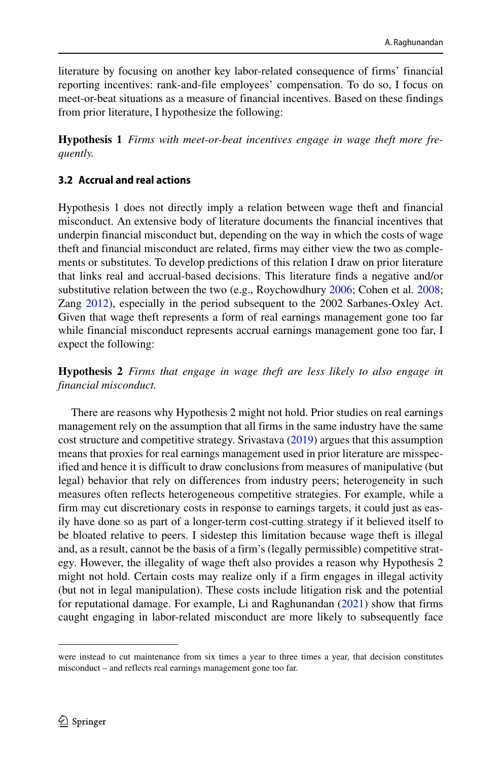literature by focusing on another key labor-related consequence of firms' financial reporting incentives: rank-and-file employees' compensation. To do so, I focus on meet-or-beat situations as a measure of financial incentives. Based on these findings from prior literature, I hypothesize the following:

**Hypothesis 1** *Firms with meet-or-beat incentives engage in wage theft more frequently.*

#### **3.2 Accrual and real actions**

Hypothesis 1 does not directly imply a relation between wage theft and financial misconduct. An extensive body of literature documents the financial incentives that underpin financial misconduct but, depending on the way in which the costs of wage theft and financial misconduct are related, firms may either view the two as complements or substitutes. To develop predictions of this relation I draw on prior literature that links real and accrual-based decisions. This literature finds a negative and/or substitutive relation between the two (e.g., Roychowdhury [2006;](#page-38-0) Cohen et al. [2008;](#page-37-18) Zang [2012\)](#page-38-1), especially in the period subsequent to the 2002 Sarbanes-Oxley Act. Given that wage theft represents a form of real earnings management gone too far while financial misconduct represents accrual earnings management gone too far, I expect the following:

**Hypothesis 2** *Firms that engage in wage theft are less likely to also engage in financial misconduct.*

There are reasons why Hypothesis 2 might not hold. Prior studies on real earnings management rely on the assumption that all firms in the same industry have the same cost structure and competitive strategy. Srivastava [\(2019\)](#page-38-3) argues that this assumption means that proxies for real earnings management used in prior literature are misspecified and hence it is difficult to draw conclusions from measures of manipulative (but legal) behavior that rely on differences from industry peers; heterogeneity in such measures often reflects heterogeneous competitive strategies. For example, while a firm may cut discretionary costs in response to earnings targets, it could just as easily have done so as part of a longer-term cost-cutting strategy if it believed itself to be bloated relative to peers. I sidestep this limitation because wage theft is illegal and, as a result, cannot be the basis of a firm's (legally permissible) competitive strategy. However, the illegality of wage theft also provides a reason why Hypothesis 2 might not hold. Certain costs may realize only if a firm engages in illegal activity (but not in legal manipulation). These costs include litigation risk and the potential for reputational damage. For example, Li and Raghunandan [\(2021\)](#page-37-14) show that firms caught engaging in labor-related misconduct are more likely to subsequently face

were instead to cut maintenance from six times a year to three times a year, that decision constitutes misconduct – and reflects real earnings management gone too far.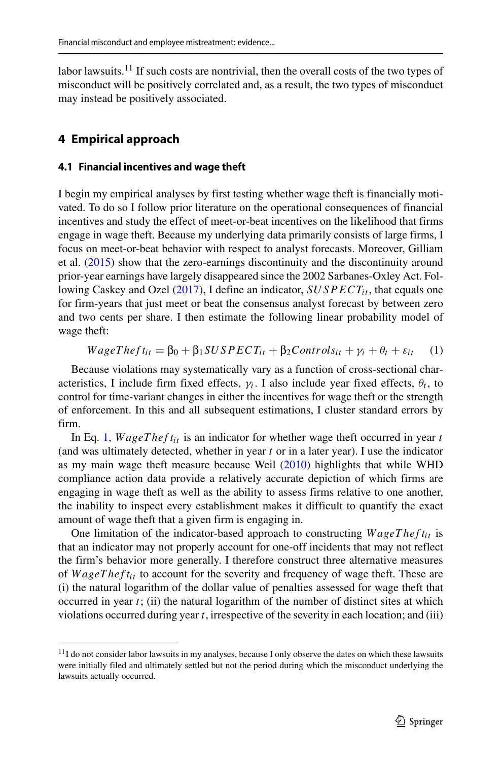labor lawsuits.<sup>11</sup> If such costs are nontrivial, then the overall costs of the two types of misconduct will be positively correlated and, as a result, the two types of misconduct may instead be positively associated.

## **4 Empirical approach**

#### <span id="page-8-2"></span>**4.1 Financial incentives and wage theft**

I begin my empirical analyses by first testing whether wage theft is financially motivated. To do so I follow prior literature on the operational consequences of financial incentives and study the effect of meet-or-beat incentives on the likelihood that firms engage in wage theft. Because my underlying data primarily consists of large firms, I focus on meet-or-beat behavior with respect to analyst forecasts. Moreover, Gilliam et al. [\(2015\)](#page-37-19) show that the zero-earnings discontinuity and the discontinuity around prior-year earnings have largely disappeared since the 2002 Sarbanes-Oxley Act. Fol-lowing Caskey and Ozel [\(2017\)](#page-37-3), I define an indicator, *SUSPECT<sub>it</sub>*, that equals one for firm-years that just meet or beat the consensus analyst forecast by between zero and two cents per share. I then estimate the following linear probability model of wage theft:

<span id="page-8-1"></span>
$$
WageTheft_{it} = \beta_0 + \beta_1 SUBPECT_{it} + \beta_2 Controls_{it} + \gamma_i + \theta_t + \varepsilon_{it} \tag{1}
$$

Because violations may systematically vary as a function of cross-sectional characteristics, I include firm fixed effects,  $\gamma_i$ . I also include year fixed effects,  $\theta_t$ , to control for time-variant changes in either the incentives for wage theft or the strength of enforcement. In this and all subsequent estimations, I cluster standard errors by firm.

In Eq. [1,](#page-8-1)  $WageTheft_{it}$  is an indicator for whether wage theft occurred in year  $t$ (and was ultimately detected, whether in year *t* or in a later year). I use the indicator as my main wage theft measure because Weil [\(2010\)](#page-38-2) highlights that while WHD compliance action data provide a relatively accurate depiction of which firms are engaging in wage theft as well as the ability to assess firms relative to one another, the inability to inspect every establishment makes it difficult to quantify the exact amount of wage theft that a given firm is engaging in.

One limitation of the indicator-based approach to constructing *W ageT hef tit* is that an indicator may not properly account for one-off incidents that may not reflect the firm's behavior more generally. I therefore construct three alternative measures of *WageThef t<sub>it</sub>* to account for the severity and frequency of wage theft. These are (i) the natural logarithm of the dollar value of penalties assessed for wage theft that occurred in year *t*; (ii) the natural logarithm of the number of distinct sites at which violations occurred during year *t*, irrespective of the severity in each location; and (iii)

<span id="page-8-0"></span> $11$ I do not consider labor lawsuits in my analyses, because I only observe the dates on which these lawsuits were initially filed and ultimately settled but not the period during which the misconduct underlying the lawsuits actually occurred.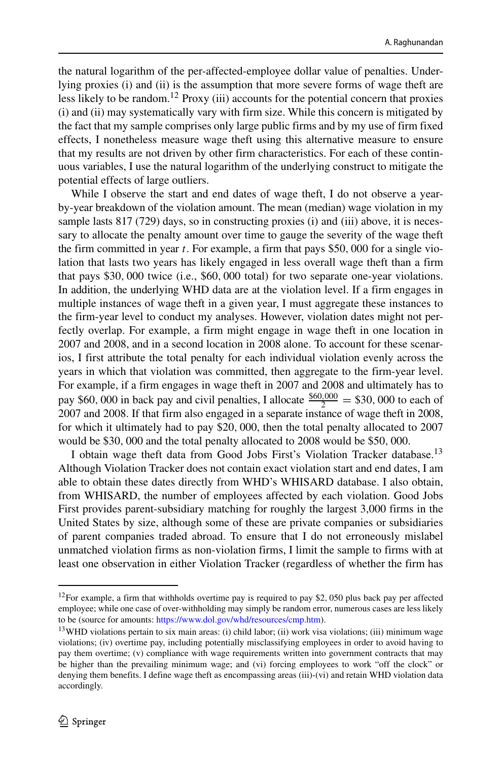the natural logarithm of the per-affected-employee dollar value of penalties. Underlying proxies (i) and (ii) is the assumption that more severe forms of wage theft are less likely to be random.<sup>[12](#page-9-0)</sup> Proxy (iii) accounts for the potential concern that proxies (i) and (ii) may systematically vary with firm size. While this concern is mitigated by the fact that my sample comprises only large public firms and by my use of firm fixed effects, I nonetheless measure wage theft using this alternative measure to ensure that my results are not driven by other firm characteristics. For each of these continuous variables, I use the natural logarithm of the underlying construct to mitigate the potential effects of large outliers.

While I observe the start and end dates of wage theft, I do not observe a yearby-year breakdown of the violation amount. The mean (median) wage violation in my sample lasts 817 (729) days, so in constructing proxies (i) and (iii) above, it is necessary to allocate the penalty amount over time to gauge the severity of the wage theft the firm committed in year *t*. For example, a firm that pays \$50*,* 000 for a single violation that lasts two years has likely engaged in less overall wage theft than a firm that pays \$30*,* 000 twice (i.e., \$60*,* 000 total) for two separate one-year violations. In addition, the underlying WHD data are at the violation level. If a firm engages in multiple instances of wage theft in a given year, I must aggregate these instances to the firm-year level to conduct my analyses. However, violation dates might not perfectly overlap. For example, a firm might engage in wage theft in one location in 2007 and 2008, and in a second location in 2008 alone. To account for these scenarios, I first attribute the total penalty for each individual violation evenly across the years in which that violation was committed, then aggregate to the firm-year level. For example, if a firm engages in wage theft in 2007 and 2008 and ultimately has to pay \$60, 000 in back pay and civil penalties, I allocate  $\frac{$60,000}{2} = $30,000$  to each of 2007 and 2008. If that firm also engaged in a separate instance of wage theft in 2008, for which it ultimately had to pay \$20*,* 000, then the total penalty allocated to 2007 would be \$30*,* 000 and the total penalty allocated to 2008 would be \$50*,* 000.

I obtain wage theft data from Good Jobs First's Violation Tracker database.<sup>13</sup> Although Violation Tracker does not contain exact violation start and end dates, I am able to obtain these dates directly from WHD's WHISARD database. I also obtain, from WHISARD, the number of employees affected by each violation. Good Jobs First provides parent-subsidiary matching for roughly the largest 3,000 firms in the United States by size, although some of these are private companies or subsidiaries of parent companies traded abroad. To ensure that I do not erroneously mislabel unmatched violation firms as non-violation firms, I limit the sample to firms with at least one observation in either Violation Tracker (regardless of whether the firm has

<span id="page-9-0"></span><sup>12</sup>For example, a firm that withholds overtime pay is required to pay \$2*,* 050 plus back pay per affected employee; while one case of over-withholding may simply be random error, numerous cases are less likely to be (source for amounts: [https://www.dol.gov/whd/resources/cmp.htm\)](https://www.dol.gov/whd/resources/cmp.htm).

<span id="page-9-1"></span> $13$ WHD violations pertain to six main areas: (i) child labor; (ii) work visa violations; (iii) minimum wage violations; (iv) overtime pay, including potentially misclassifying employees in order to avoid having to pay them overtime; (v) compliance with wage requirements written into government contracts that may be higher than the prevailing minimum wage; and (vi) forcing employees to work "off the clock" or denying them benefits. I define wage theft as encompassing areas (iii)-(vi) and retain WHD violation data accordingly.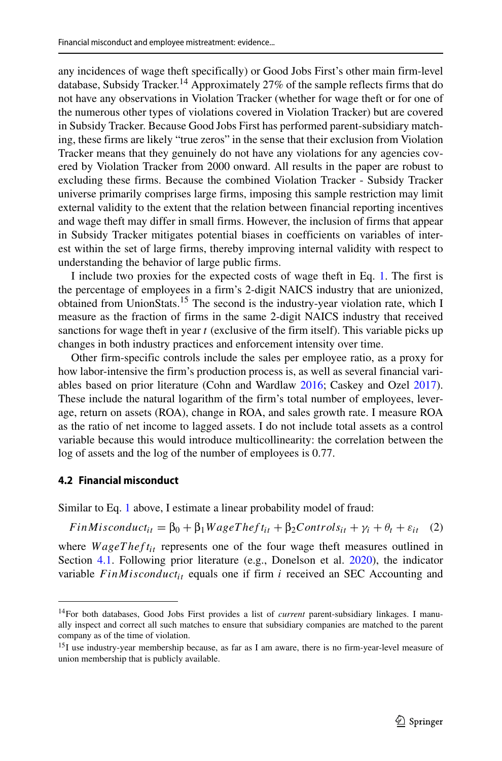any incidences of wage theft specifically) or Good Jobs First's other main firm-level database, Subsidy Tracker.<sup>14</sup> Approximately 27% of the sample reflects firms that do not have any observations in Violation Tracker (whether for wage theft or for one of the numerous other types of violations covered in Violation Tracker) but are covered in Subsidy Tracker. Because Good Jobs First has performed parent-subsidiary matching, these firms are likely "true zeros" in the sense that their exclusion from Violation Tracker means that they genuinely do not have any violations for any agencies covered by Violation Tracker from 2000 onward. All results in the paper are robust to excluding these firms. Because the combined Violation Tracker - Subsidy Tracker universe primarily comprises large firms, imposing this sample restriction may limit external validity to the extent that the relation between financial reporting incentives and wage theft may differ in small firms. However, the inclusion of firms that appear in Subsidy Tracker mitigates potential biases in coefficients on variables of interest within the set of large firms, thereby improving internal validity with respect to understanding the behavior of large public firms.

I include two proxies for the expected costs of wage theft in Eq. [1.](#page-8-1) The first is the percentage of employees in a firm's 2-digit NAICS industry that are unionized, obtained from UnionStats.[15](#page-10-1) The second is the industry-year violation rate, which I measure as the fraction of firms in the same 2-digit NAICS industry that received sanctions for wage theft in year *t* (exclusive of the firm itself). This variable picks up changes in both industry practices and enforcement intensity over time.

Other firm-specific controls include the sales per employee ratio, as a proxy for how labor-intensive the firm's production process is, as well as several financial variables based on prior literature (Cohn and Wardlaw [2016;](#page-37-17) Caskey and Ozel [2017\)](#page-37-3). These include the natural logarithm of the firm's total number of employees, leverage, return on assets (ROA), change in ROA, and sales growth rate. I measure ROA as the ratio of net income to lagged assets. I do not include total assets as a control variable because this would introduce multicollinearity: the correlation between the log of assets and the log of the number of employees is 0.77.

#### **4.2 Financial misconduct**

Similar to Eq. [1](#page-8-1) above, I estimate a linear probability model of fraud:

<span id="page-10-2"></span> $FinM is conduct_{it} = \beta_0 + \beta_1 WageTheft_{it} + \beta_2 Controls_{it} + \gamma_i + \theta_t + \varepsilon_{it}$  (2)

where *WageTheft<sub>it</sub>* represents one of the four wage theft measures outlined in Section [4.1.](#page-8-2) Following prior literature (e.g., Donelson et al. [2020\)](#page-37-20), the indicator variable  $FinM is conduct_{it}$  equals one if firm  $i$  received an SEC Accounting and

<span id="page-10-0"></span><sup>14</sup>For both databases, Good Jobs First provides a list of *current* parent-subsidiary linkages. I manually inspect and correct all such matches to ensure that subsidiary companies are matched to the parent company as of the time of violation.

<span id="page-10-1"></span><sup>&</sup>lt;sup>15</sup>I use industry-year membership because, as far as I am aware, there is no firm-year-level measure of union membership that is publicly available.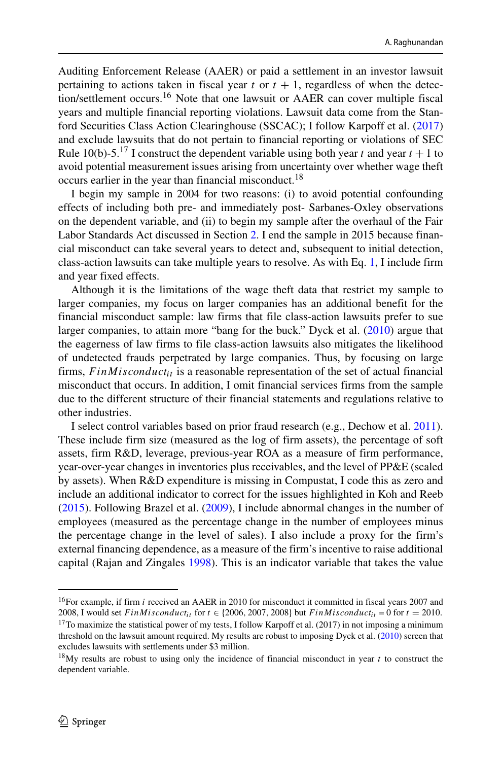Auditing Enforcement Release (AAER) or paid a settlement in an investor lawsuit pertaining to actions taken in fiscal year  $t$  or  $t + 1$ , regardless of when the detection/settlement occurs.[16](#page-11-0) Note that one lawsuit or AAER can cover multiple fiscal years and multiple financial reporting violations. Lawsuit data come from the Stanford Securities Class Action Clearinghouse (SSCAC); I follow Karpoff et al. [\(2017\)](#page-37-21) and exclude lawsuits that do not pertain to financial reporting or violations of SEC Rule 10(b)-5.<sup>[17](#page-11-1)</sup> I construct the dependent variable using both year *t* and year  $t + 1$  to avoid potential measurement issues arising from uncertainty over whether wage theft occurs earlier in the year than financial misconduct.<sup>[18](#page-11-2)</sup>

I begin my sample in 2004 for two reasons: (i) to avoid potential confounding effects of including both pre- and immediately post- Sarbanes-Oxley observations on the dependent variable, and (ii) to begin my sample after the overhaul of the Fair Labor Standards Act discussed in Section [2.](#page-4-0) I end the sample in 2015 because financial misconduct can take several years to detect and, subsequent to initial detection, class-action lawsuits can take multiple years to resolve. As with Eq. [1,](#page-8-1) I include firm and year fixed effects.

Although it is the limitations of the wage theft data that restrict my sample to larger companies, my focus on larger companies has an additional benefit for the financial misconduct sample: law firms that file class-action lawsuits prefer to sue larger companies, to attain more "bang for the buck." Dyck et al. [\(2010\)](#page-37-22) argue that the eagerness of law firms to file class-action lawsuits also mitigates the likelihood of undetected frauds perpetrated by large companies. Thus, by focusing on large firms,  $FinM is conduct_{it}$  is a reasonable representation of the set of actual financial misconduct that occurs. In addition, I omit financial services firms from the sample due to the different structure of their financial statements and regulations relative to other industries.

I select control variables based on prior fraud research (e.g., Dechow et al. [2011\)](#page-37-23). These include firm size (measured as the log of firm assets), the percentage of soft assets, firm R&D, leverage, previous-year ROA as a measure of firm performance, year-over-year changes in inventories plus receivables, and the level of PP&E (scaled by assets). When R&D expenditure is missing in Compustat, I code this as zero and include an additional indicator to correct for the issues highlighted in Koh and Reeb [\(2015\)](#page-37-24). Following Brazel et al. [\(2009\)](#page-37-25), I include abnormal changes in the number of employees (measured as the percentage change in the number of employees minus the percentage change in the level of sales). I also include a proxy for the firm's external financing dependence, as a measure of the firm's incentive to raise additional capital (Rajan and Zingales [1998\)](#page-38-4). This is an indicator variable that takes the value

<span id="page-11-0"></span><sup>&</sup>lt;sup>16</sup>For example, if firm *i* received an AAER in 2010 for misconduct it committed in fiscal years 2007 and 2008, I would set *FinMisconduct<sub>it</sub>* for  $t \in \{2006, 2007, 2008\}$  but *FinMisconduct<sub>it</sub>* = 0 for  $t = 2010$ .

<span id="page-11-1"></span><sup>&</sup>lt;sup>17</sup>To maximize the statistical power of my tests, I follow Karpoff et al. (2017) in not imposing a minimum threshold on the lawsuit amount required. My results are robust to imposing Dyck et al. [\(2010\)](#page-37-22) screen that excludes lawsuits with settlements under \$3 million.

<span id="page-11-2"></span><sup>18</sup>My results are robust to using only the incidence of financial misconduct in year *t* to construct the dependent variable.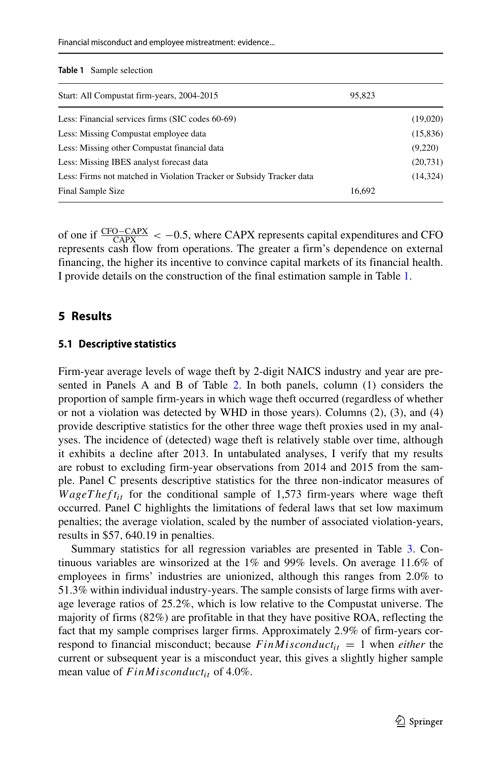Financial misconduct and employee mistreatment: evidence...

<span id="page-12-0"></span>

|  | <b>Table 1</b> Sample selection |  |
|--|---------------------------------|--|
|--|---------------------------------|--|

| Start: All Compustat firm-years, 2004-2015                           | 95,823 |           |
|----------------------------------------------------------------------|--------|-----------|
| Less: Financial services firms (SIC codes 60-69)                     |        | (19,020)  |
| Less: Missing Compustat employee data                                |        | (15,836)  |
| Less: Missing other Compustat financial data                         |        | (9,220)   |
| Less: Missing IBES analyst forecast data                             |        | (20, 731) |
| Less: Firms not matched in Violation Tracker or Subsidy Tracker data |        | (14, 324) |
| Final Sample Size                                                    | 16,692 |           |

of one if CFO−CAPX CAPX *<* −0.5, where CAPX represents capital expenditures and CFO represents cash flow from operations. The greater a firm's dependence on external financing, the higher its incentive to convince capital markets of its financial health. I provide details on the construction of the final estimation sample in Table [1.](#page-12-0)

#### **5 Results**

#### **5.1 Descriptive statistics**

Firm-year average levels of wage theft by 2-digit NAICS industry and year are presented in Panels A and B of Table [2.](#page-13-0) In both panels, column (1) considers the proportion of sample firm-years in which wage theft occurred (regardless of whether or not a violation was detected by WHD in those years). Columns (2), (3), and (4) provide descriptive statistics for the other three wage theft proxies used in my analyses. The incidence of (detected) wage theft is relatively stable over time, although it exhibits a decline after 2013. In untabulated analyses, I verify that my results are robust to excluding firm-year observations from 2014 and 2015 from the sample. Panel C presents descriptive statistics for the three non-indicator measures of *WageTheft<sub>it</sub>* for the conditional sample of 1,573 firm-years where wage theft occurred. Panel C highlights the limitations of federal laws that set low maximum penalties; the average violation, scaled by the number of associated violation-years, results in \$57*,* 640.19 in penalties.

Summary statistics for all regression variables are presented in Table [3.](#page-14-0) Continuous variables are winsorized at the 1% and 99% levels. On average 11.6% of employees in firms' industries are unionized, although this ranges from 2.0% to 51.3% within individual industry-years. The sample consists of large firms with average leverage ratios of 25.2%, which is low relative to the Compustat universe. The majority of firms (82%) are profitable in that they have positive ROA, reflecting the fact that my sample comprises larger firms. Approximately 2.9% of firm-years correspond to financial misconduct; because  $FinM is conducted_{it} = 1$  when *either* the current or subsequent year is a misconduct year, this gives a slightly higher sample mean value of  $FinM is conduct_{it}$  of 4.0%.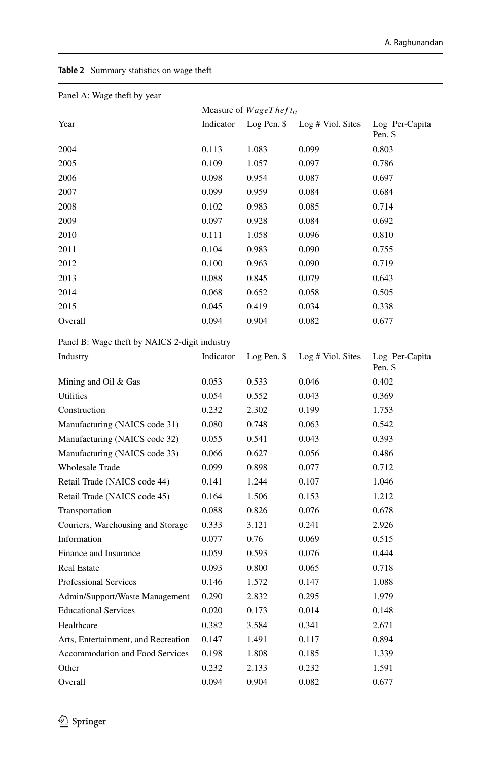#### <span id="page-13-0"></span>**Table 2** Summary statistics on wage theft

| Panel A: Wage theft by year                   |           |                               |                   |                           |
|-----------------------------------------------|-----------|-------------------------------|-------------------|---------------------------|
|                                               |           | Measure of $WageThe fit_{it}$ |                   |                           |
| Year                                          | Indicator | Log Pen. \$                   | Log # Viol. Sites | Log Per-Capita<br>Pen. \$ |
| 2004                                          | 0.113     | 1.083                         | 0.099             | 0.803                     |
| 2005                                          | 0.109     | 1.057                         | 0.097             | 0.786                     |
| 2006                                          | 0.098     | 0.954                         | 0.087             | 0.697                     |
| 2007                                          | 0.099     | 0.959                         | 0.084             | 0.684                     |
| 2008                                          | 0.102     | 0.983                         | 0.085             | 0.714                     |
| 2009                                          | 0.097     | 0.928                         | 0.084             | 0.692                     |
| 2010                                          | 0.111     | 1.058                         | 0.096             | 0.810                     |
| 2011                                          | 0.104     | 0.983                         | 0.090             | 0.755                     |
| 2012                                          | 0.100     | 0.963                         | 0.090             | 0.719                     |
| 2013                                          | 0.088     | 0.845                         | 0.079             | 0.643                     |
| 2014                                          | 0.068     | 0.652                         | 0.058             | 0.505                     |
| 2015                                          | 0.045     | 0.419                         | 0.034             | 0.338                     |
| Overall                                       | 0.094     | 0.904                         | 0.082             | 0.677                     |
| Panel B: Wage theft by NAICS 2-digit industry |           |                               |                   |                           |
| Industry                                      | Indicator | Log Pen. \$                   | Log # Viol. Sites | Log Per-Capita<br>Pen. \$ |
| Mining and Oil & Gas                          | 0.053     | 0.533                         | 0.046             | 0.402                     |
| Utilities                                     | 0.054     | 0.552                         | 0.043             | 0.369                     |
| Construction                                  | 0.232     | 2.302                         | 0.199             | 1.753                     |
| Manufacturing (NAICS code 31)                 | 0.080     | 0.748                         | 0.063             | 0.542                     |
| Manufacturing (NAICS code 32)                 | 0.055     | 0.541                         | 0.043             | 0.393                     |
| Manufacturing (NAICS code 33)                 | 0.066     | 0.627                         | 0.056             | 0.486                     |
| <b>Wholesale Trade</b>                        | 0.099     | 0.898                         | 0.077             | 0.712                     |
| Retail Trade (NAICS code 44)                  | 0.141     | 1.244                         | 0.107             | 1.046                     |
| Retail Trade (NAICS code 45)                  | 0.164     | 1.506                         | 0.153             | 1.212                     |
| Transportation                                | 0.088     | 0.826                         | 0.076             | 0.678                     |
| Couriers, Warehousing and Storage             | 0.333     | 3.121                         | 0.241             | 2.926                     |
| Information                                   | 0.077     | 0.76                          | 0.069             | 0.515                     |
| Finance and Insurance                         | 0.059     | 0.593                         | 0.076             | 0.444                     |
| Real Estate                                   | 0.093     | 0.800                         | 0.065             | 0.718                     |
| <b>Professional Services</b>                  | 0.146     | 1.572                         | 0.147             | 1.088                     |
| Admin/Support/Waste Management                | 0.290     | 2.832                         | 0.295             | 1.979                     |
| <b>Educational Services</b>                   | 0.020     | 0.173                         | 0.014             | 0.148                     |
| Healthcare                                    | 0.382     | 3.584                         | 0.341             | 2.671                     |
| Arts, Entertainment, and Recreation           | 0.147     | 1.491                         | 0.117             | 0.894                     |
| <b>Accommodation and Food Services</b>        | 0.198     | 1.808                         | 0.185             | 1.339                     |
| Other                                         | 0.232     | 2.133                         | 0.232             | 1.591                     |
| Overall                                       | 0.094     | 0.904                         | 0.082             | 0.677                     |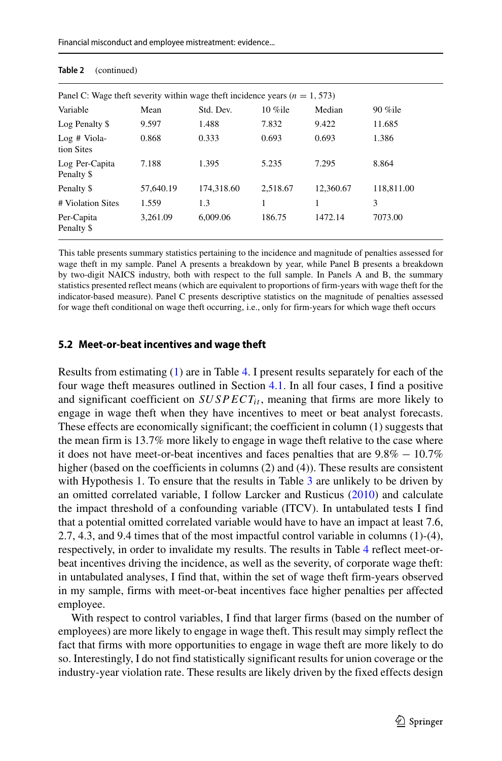| Panel C: Wage theft severity within wage theft incidence years ( $n = 1,573$ ) |           |            |            |           |            |  |  |
|--------------------------------------------------------------------------------|-----------|------------|------------|-----------|------------|--|--|
| Variable                                                                       | Mean      | Std. Dev.  | $10\%$ ile | Median    | $90\%$ ile |  |  |
| Log Penalty \$                                                                 | 9.597     | 1.488      | 7.832      | 9.422     | 11.685     |  |  |
| $Log$ # Viola-<br>tion Sites                                                   | 0.868     | 0.333      | 0.693      | 0.693     | 1.386      |  |  |
| Log Per-Capita<br>Penalty \$                                                   | 7.188     | 1.395      | 5.235      | 7.295     | 8.864      |  |  |
| Penalty \$                                                                     | 57,640.19 | 174.318.60 | 2.518.67   | 12,360.67 | 118,811.00 |  |  |
| # Violation Sites                                                              | 1.559     | 1.3        |            | 1         | 3          |  |  |
| Per-Capita<br>Penalty \$                                                       | 3.261.09  | 6.009.06   | 186.75     | 1472.14   | 7073.00    |  |  |

#### <span id="page-14-0"></span>**Table 2** (continued)

This table presents summary statistics pertaining to the incidence and magnitude of penalties assessed for wage theft in my sample. Panel A presents a breakdown by year, while Panel B presents a breakdown by two-digit NAICS industry, both with respect to the full sample. In Panels A and B, the summary statistics presented reflect means (which are equivalent to proportions of firm-years with wage theft for the indicator-based measure). Panel C presents descriptive statistics on the magnitude of penalties assessed for wage theft conditional on wage theft occurring, i.e., only for firm-years for which wage theft occurs

#### <span id="page-14-1"></span>**5.2 Meet-or-beat incentives and wage theft**

Results from estimating [\(1\)](#page-8-1) are in Table [4.](#page-16-0) I present results separately for each of the four wage theft measures outlined in Section [4.1.](#page-8-2) In all four cases, I find a positive and significant coefficient on  $SUSPECT_{it}$ , meaning that firms are more likely to engage in wage theft when they have incentives to meet or beat analyst forecasts. These effects are economically significant; the coefficient in column (1) suggests that the mean firm is 13.7% more likely to engage in wage theft relative to the case where it does not have meet-or-beat incentives and faces penalties that are  $9.8\% - 10.7\%$ higher (based on the coefficients in columns (2) and (4)). These results are consistent with Hypothesis 1. To ensure that the results in Table [3](#page-14-0) are unlikely to be driven by an omitted correlated variable, I follow Larcker and Rusticus [\(2010\)](#page-37-26) and calculate the impact threshold of a confounding variable (ITCV). In untabulated tests I find that a potential omitted correlated variable would have to have an impact at least 7.6, 2.7, 4.3, and 9.4 times that of the most impactful control variable in columns (1)-(4), respectively, in order to invalidate my results. The results in Table [4](#page-16-0) reflect meet-orbeat incentives driving the incidence, as well as the severity, of corporate wage theft: in untabulated analyses, I find that, within the set of wage theft firm-years observed in my sample, firms with meet-or-beat incentives face higher penalties per affected employee.

With respect to control variables, I find that larger firms (based on the number of employees) are more likely to engage in wage theft. This result may simply reflect the fact that firms with more opportunities to engage in wage theft are more likely to do so. Interestingly, I do not find statistically significant results for union coverage or the industry-year violation rate. These results are likely driven by the fixed effects design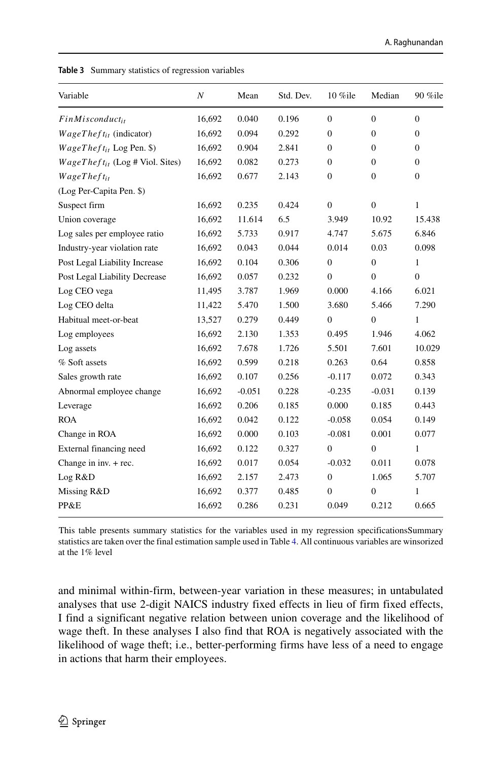| Variable                             | $\boldsymbol{N}$ | Mean     | Std. Dev. | 10 %ile        | Median         | 90 %ile      |
|--------------------------------------|------------------|----------|-----------|----------------|----------------|--------------|
| $FinMisconduct_{it}$                 | 16,692           | 0.040    | 0.196     | $\Omega$       | $\Omega$       | $\Omega$     |
| $WageTheft_{it}$ (indicator)         | 16,692           | 0.094    | 0.292     | $\mathbf{0}$   | $\overline{0}$ | $\mathbf{0}$ |
| $WageTheft_{it}$ Log Pen. \$)        | 16,692           | 0.904    | 2.841     | $\mathbf{0}$   | $\mathbf{0}$   | $\mathbf{0}$ |
| $WageTheft_{it}$ (Log # Viol. Sites) | 16,692           | 0.082    | 0.273     | $\Omega$       | $\Omega$       | $\Omega$     |
| $WageThe fit_{it}$                   | 16,692           | 0.677    | 2.143     | $\mathbf{0}$   | $\theta$       | $\Omega$     |
| (Log Per-Capita Pen. \$)             |                  |          |           |                |                |              |
| Suspect firm                         | 16,692           | 0.235    | 0.424     | $\Omega$       | $\Omega$       | 1            |
| Union coverage                       | 16,692           | 11.614   | 6.5       | 3.949          | 10.92          | 15.438       |
| Log sales per employee ratio         | 16,692           | 5.733    | 0.917     | 4.747          | 5.675          | 6.846        |
| Industry-year violation rate         | 16,692           | 0.043    | 0.044     | 0.014          | 0.03           | 0.098        |
| Post Legal Liability Increase        | 16,692           | 0.104    | 0.306     | $\overline{0}$ | $\mathbf{0}$   | 1            |
| Post Legal Liability Decrease        | 16,692           | 0.057    | 0.232     | $\Omega$       | $\Omega$       | $\Omega$     |
| Log CEO vega                         | 11,495           | 3.787    | 1.969     | 0.000          | 4.166          | 6.021        |
| Log CEO delta                        | 11,422           | 5.470    | 1.500     | 3.680          | 5.466          | 7.290        |
| Habitual meet-or-beat                | 13,527           | 0.279    | 0.449     | $\Omega$       | $\theta$       | 1            |
| Log employees                        | 16,692           | 2.130    | 1.353     | 0.495          | 1.946          | 4.062        |
| Log assets                           | 16,692           | 7.678    | 1.726     | 5.501          | 7.601          | 10.029       |
| % Soft assets                        | 16,692           | 0.599    | 0.218     | 0.263          | 0.64           | 0.858        |
| Sales growth rate                    | 16,692           | 0.107    | 0.256     | $-0.117$       | 0.072          | 0.343        |
| Abnormal employee change             | 16,692           | $-0.051$ | 0.228     | $-0.235$       | $-0.031$       | 0.139        |
| Leverage                             | 16,692           | 0.206    | 0.185     | 0.000          | 0.185          | 0.443        |
| <b>ROA</b>                           | 16,692           | 0.042    | 0.122     | $-0.058$       | 0.054          | 0.149        |
| Change in ROA                        | 16,692           | 0.000    | 0.103     | $-0.081$       | 0.001          | 0.077        |
| External financing need              | 16,692           | 0.122    | 0.327     | $\Omega$       | $\Omega$       | 1            |
| Change in inv. + rec.                | 16,692           | 0.017    | 0.054     | $-0.032$       | 0.011          | 0.078        |
| Log R&D                              | 16,692           | 2.157    | 2.473     | $\mathbf{0}$   | 1.065          | 5.707        |
| Missing R&D                          | 16,692           | 0.377    | 0.485     | $\mathbf{0}$   | $\overline{0}$ | 1            |
| PP&E                                 | 16,692           | 0.286    | 0.231     | 0.049          | 0.212          | 0.665        |

**Table 3** Summary statistics of regression variables

This table presents summary statistics for the variables used in my regression specificationsSummary statistics are taken over the final estimation sample used in Table [4.](#page-16-0) All continuous variables are winsorized at the 1% level

and minimal within-firm, between-year variation in these measures; in untabulated analyses that use 2-digit NAICS industry fixed effects in lieu of firm fixed effects, I find a significant negative relation between union coverage and the likelihood of wage theft. In these analyses I also find that ROA is negatively associated with the likelihood of wage theft; i.e., better-performing firms have less of a need to engage in actions that harm their employees.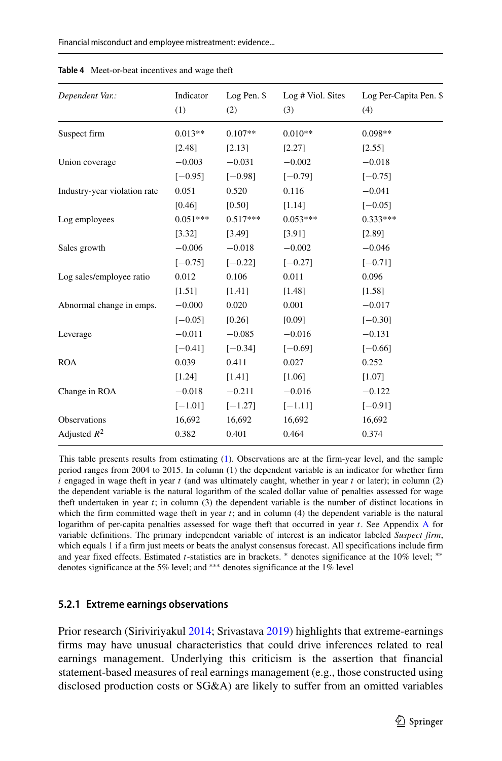| Dependent Var.:              | Indicator<br>(1) | Log Pen. \$<br>(2) | Log # Viol. Sites<br>(3) | Log Per-Capita Pen. \$<br>(4) |
|------------------------------|------------------|--------------------|--------------------------|-------------------------------|
| Suspect firm                 | $0.013**$        | $0.107**$          | $0.010**$                | $0.098**$                     |
|                              | [2.48]           | [2.13]             | [2.27]                   | [2.55]                        |
| Union coverage               | $-0.003$         | $-0.031$           | $-0.002$                 | $-0.018$                      |
|                              | $[-0.95]$        | $[-0.98]$          | $[-0.79]$                | $[-0.75]$                     |
| Industry-year violation rate | 0.051            | 0.520              | 0.116                    | $-0.041$                      |
|                              | [0.46]           | [0.50]             | [1.14]                   | $[-0.05]$                     |
| Log employees                | $0.051***$       | $0.517***$         | $0.053***$               | $0.333***$                    |
|                              | [3.32]           | [3.49]             | [3.91]                   | [2.89]                        |
| Sales growth                 | $-0.006$         | $-0.018$           | $-0.002$                 | $-0.046$                      |
|                              | $[-0.75]$        | $[-0.22]$          | $[-0.27]$                | $[-0.71]$                     |
| Log sales/employee ratio     | 0.012            | 0.106              | 0.011                    | 0.096                         |
|                              | [1.51]           | [1.41]             | [1.48]                   | [1.58]                        |
| Abnormal change in emps.     | $-0.000$         | 0.020              | 0.001                    | $-0.017$                      |
|                              | $[-0.05]$        | [0.26]             | [0.09]                   | $[-0.30]$                     |
| Leverage                     | $-0.011$         | $-0.085$           | $-0.016$                 | $-0.131$                      |
|                              | $[-0.41]$        | $[-0.34]$          | $[-0.69]$                | $[-0.66]$                     |
| <b>ROA</b>                   | 0.039            | 0.411              | 0.027                    | 0.252                         |
|                              | [1.24]           | [1.41]             | [1.06]                   | [1.07]                        |
| Change in ROA                | $-0.018$         | $-0.211$           | $-0.016$                 | $-0.122$                      |
|                              | $[-1.01]$        | $[-1.27]$          | $[-1.11]$                | $[-0.91]$                     |
| Observations                 | 16,692           | 16,692             | 16,692                   | 16,692                        |
| Adjusted $R^2$               | 0.382            | 0.401              | 0.464                    | 0.374                         |

<span id="page-16-0"></span>**Table 4** Meet-or-beat incentives and wage theft

This table presents results from estimating [\(1\)](#page-8-1). Observations are at the firm-year level, and the sample period ranges from 2004 to 2015. In column (1) the dependent variable is an indicator for whether firm *i* engaged in wage theft in year *t* (and was ultimately caught, whether in year *t* or later); in column (2) the dependent variable is the natural logarithm of the scaled dollar value of penalties assessed for wage theft undertaken in year *t*; in column (3) the dependent variable is the number of distinct locations in which the firm committed wage theft in year *t*; and in column (4) the dependent variable is the natural logarithm of per-capita penalties assessed for wage theft that occurred in year *t*. See Appendix [A](#page-34-0) for variable definitions. The primary independent variable of interest is an indicator labeled *Suspect firm*, which equals 1 if a firm just meets or beats the analyst consensus forecast. All specifications include firm and year fixed effects. Estimated *t*-statistics are in brackets. <sup>\*</sup> denotes significance at the 10% level; \*\* denotes significance at the 5% level; and ∗∗∗ denotes significance at the 1% level

#### **5.2.1 Extreme earnings observations**

Prior research (Siriviriyakul [2014;](#page-38-5) Srivastava [2019\)](#page-38-3) highlights that extreme-earnings firms may have unusual characteristics that could drive inferences related to real earnings management. Underlying this criticism is the assertion that financial statement-based measures of real earnings management (e.g., those constructed using disclosed production costs or SG&A) are likely to suffer from an omitted variables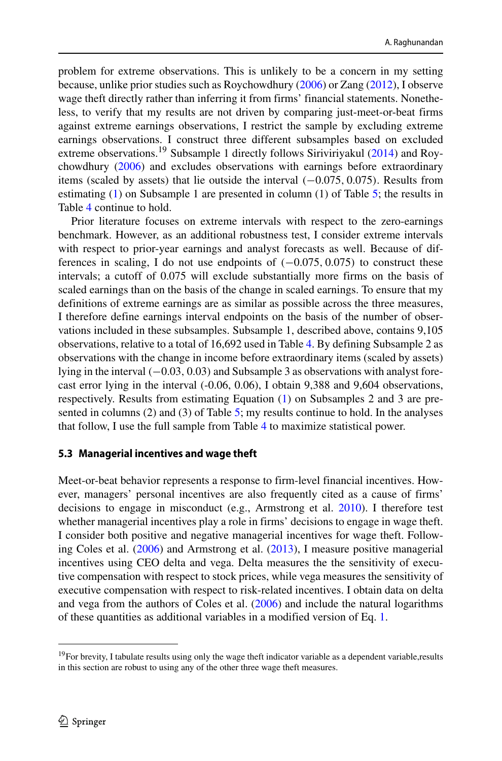problem for extreme observations. This is unlikely to be a concern in my setting because, unlike prior studies such as Roychowdhury [\(2006\)](#page-38-0) or Zang [\(2012\)](#page-38-1), I observe wage theft directly rather than inferring it from firms' financial statements. Nonetheless, to verify that my results are not driven by comparing just-meet-or-beat firms against extreme earnings observations, I restrict the sample by excluding extreme earnings observations. I construct three different subsamples based on excluded extreme observations.[19](#page-17-0) Subsample 1 directly follows Siriviriyakul [\(2014\)](#page-38-5) and Roychowdhury [\(2006\)](#page-38-0) and excludes observations with earnings before extraordinary items (scaled by assets) that lie outside the interval *(*−0.075*,* 0.075*)*. Results from estimating [\(1\)](#page-8-1) on Subsample 1 are presented in column (1) of Table [5;](#page-18-0) the results in Table [4](#page-16-0) continue to hold.

Prior literature focuses on extreme intervals with respect to the zero-earnings benchmark. However, as an additional robustness test, I consider extreme intervals with respect to prior-year earnings and analyst forecasts as well. Because of differences in scaling, I do not use endpoints of *(*−0.075*,* 0.075*)* to construct these intervals; a cutoff of 0.075 will exclude substantially more firms on the basis of scaled earnings than on the basis of the change in scaled earnings. To ensure that my definitions of extreme earnings are as similar as possible across the three measures, I therefore define earnings interval endpoints on the basis of the number of observations included in these subsamples. Subsample 1, described above, contains 9,105 observations, relative to a total of 16,692 used in Table [4.](#page-16-0) By defining Subsample 2 as observations with the change in income before extraordinary items (scaled by assets) lying in the interval *(*−0.03*,* 0.03*)* and Subsample 3 as observations with analyst forecast error lying in the interval (-0.06, 0.06), I obtain 9,388 and 9,604 observations, respectively. Results from estimating Equation [\(1\)](#page-8-1) on Subsamples 2 and 3 are presented in columns (2) and (3) of Table [5;](#page-18-0) my results continue to hold. In the analyses that follow, I use the full sample from Table [4](#page-16-0) to maximize statistical power.

#### <span id="page-17-1"></span>**5.3 Managerial incentives and wage theft**

Meet-or-beat behavior represents a response to firm-level financial incentives. However, managers' personal incentives are also frequently cited as a cause of firms' decisions to engage in misconduct (e.g., Armstrong et al. [2010\)](#page-36-5). I therefore test whether managerial incentives play a role in firms' decisions to engage in wage theft. I consider both positive and negative managerial incentives for wage theft. Following Coles et al. [\(2006\)](#page-37-5) and Armstrong et al. [\(2013\)](#page-36-6), I measure positive managerial incentives using CEO delta and vega. Delta measures the the sensitivity of executive compensation with respect to stock prices, while vega measures the sensitivity of executive compensation with respect to risk-related incentives. I obtain data on delta and vega from the authors of Coles et al. [\(2006\)](#page-37-5) and include the natural logarithms of these quantities as additional variables in a modified version of Eq. [1.](#page-8-1)

<span id="page-17-0"></span><sup>&</sup>lt;sup>19</sup>For brevity, I tabulate results using only the wage theft indicator variable as a dependent variable, results in this section are robust to using any of the other three wage theft measures.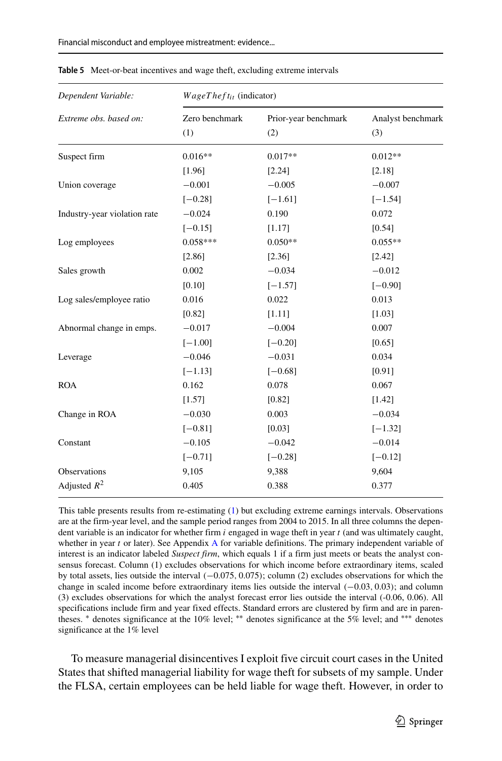| Dependent Variable:          | $WageTheft_{it}$ (indicator) |                             |                          |  |  |
|------------------------------|------------------------------|-----------------------------|--------------------------|--|--|
| Extreme obs. based on:       | Zero benchmark<br>(1)        | Prior-year benchmark<br>(2) | Analyst benchmark<br>(3) |  |  |
| Suspect firm                 | $0.016**$                    | $0.017**$                   | $0.012**$                |  |  |
|                              | [1.96]                       | [2.24]                      | [2.18]                   |  |  |
| Union coverage               | $-0.001$                     | $-0.005$                    | $-0.007$                 |  |  |
|                              | $[-0.28]$                    | $[-1.61]$                   | $[-1.54]$                |  |  |
| Industry-year violation rate | $-0.024$                     | 0.190                       | 0.072                    |  |  |
|                              | $[-0.15]$                    | [1.17]                      | [0.54]                   |  |  |
| Log employees                | $0.058***$                   | $0.050**$                   | $0.055**$                |  |  |
|                              | [2.86]                       | [2.36]                      | [2.42]                   |  |  |
| Sales growth                 | 0.002                        | $-0.034$                    | $-0.012$                 |  |  |
|                              | [0.10]                       | $[-1.57]$                   | $[-0.90]$                |  |  |
| Log sales/employee ratio     | 0.016                        | 0.022                       | 0.013                    |  |  |
|                              | [0.82]                       | [1.11]                      | [1.03]                   |  |  |
| Abnormal change in emps.     | $-0.017$                     | $-0.004$                    | 0.007                    |  |  |
|                              | $[-1.00]$                    | $[-0.20]$                   | [0.65]                   |  |  |
| Leverage                     | $-0.046$                     | $-0.031$                    | 0.034                    |  |  |
|                              | $[-1.13]$                    | $[-0.68]$                   | [0.91]                   |  |  |
| <b>ROA</b>                   | 0.162                        | 0.078                       | 0.067                    |  |  |
|                              | [1.57]                       | [0.82]                      | [1.42]                   |  |  |
| Change in ROA                | $-0.030$                     | 0.003                       | $-0.034$                 |  |  |
|                              | $[-0.81]$                    | [0.03]                      | $[-1.32]$                |  |  |
| Constant                     | $-0.105$                     | $-0.042$                    | $-0.014$                 |  |  |
|                              | $[-0.71]$                    | $[-0.28]$                   | $[-0.12]$                |  |  |
| Observations                 | 9,105                        | 9,388                       | 9,604                    |  |  |
| Adjusted $R^2$               | 0.405                        | 0.388                       | 0.377                    |  |  |

<span id="page-18-0"></span>**Table 5** Meet-or-beat incentives and wage theft, excluding extreme intervals

This table presents results from re-estimating [\(1\)](#page-8-1) but excluding extreme earnings intervals. Observations are at the firm-year level, and the sample period ranges from 2004 to 2015. In all three columns the dependent variable is an indicator for whether firm *i* engaged in wage theft in year *t* (and was ultimately caught, whether in year *t* or later). See [A](#page-34-0)ppendix A for variable definitions. The primary independent variable of interest is an indicator labeled *Suspect firm*, which equals 1 if a firm just meets or beats the analyst consensus forecast. Column (1) excludes observations for which income before extraordinary items, scaled by total assets, lies outside the interval *(*−0.075*,* 0.075*)*; column (2) excludes observations for which the change in scaled income before extraordinary items lies outside the interval *(*−0.03*,* 0.03*)*; and column (3) excludes observations for which the analyst forecast error lies outside the interval (-0.06, 0.06). All specifications include firm and year fixed effects. Standard errors are clustered by firm and are in parentheses. <sup>∗</sup> denotes significance at the 10% level; <sup>∗∗</sup> denotes significance at the 5% level; and <sup>∗</sup>\*\* denotes significance at the 1% level

To measure managerial disincentives I exploit five circuit court cases in the United States that shifted managerial liability for wage theft for subsets of my sample. Under the FLSA, certain employees can be held liable for wage theft. However, in order to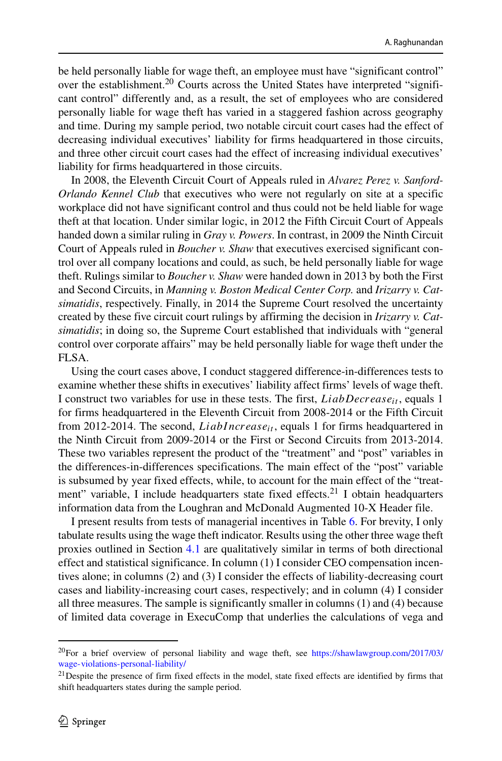be held personally liable for wage theft, an employee must have "significant control" over the establishment.<sup>20</sup> Courts across the United States have interpreted "significant control" differently and, as a result, the set of employees who are considered personally liable for wage theft has varied in a staggered fashion across geography and time. During my sample period, two notable circuit court cases had the effect of decreasing individual executives' liability for firms headquartered in those circuits, and three other circuit court cases had the effect of increasing individual executives' liability for firms headquartered in those circuits.

In 2008, the Eleventh Circuit Court of Appeals ruled in *Alvarez Perez v. Sanford-Orlando Kennel Club* that executives who were not regularly on site at a specific workplace did not have significant control and thus could not be held liable for wage theft at that location. Under similar logic, in 2012 the Fifth Circuit Court of Appeals handed down a similar ruling in *Gray v. Powers*. In contrast, in 2009 the Ninth Circuit Court of Appeals ruled in *Boucher v. Shaw* that executives exercised significant control over all company locations and could, as such, be held personally liable for wage theft. Rulings similar to *Boucher v. Shaw* were handed down in 2013 by both the First and Second Circuits, in *Manning v. Boston Medical Center Corp.* and *Irizarry v. Catsimatidis*, respectively. Finally, in 2014 the Supreme Court resolved the uncertainty created by these five circuit court rulings by affirming the decision in *Irizarry v. Catsimatidis*; in doing so, the Supreme Court established that individuals with "general control over corporate affairs" may be held personally liable for wage theft under the FLSA.

Using the court cases above, I conduct staggered difference-in-differences tests to examine whether these shifts in executives' liability affect firms' levels of wage theft. I construct two variables for use in these tests. The first, *LiabDecreaseit* , equals 1 for firms headquartered in the Eleventh Circuit from 2008-2014 or the Fifth Circuit from 2012-2014. The second, *LiabIncrease<sub>it</sub>*, equals 1 for firms headquartered in the Ninth Circuit from 2009-2014 or the First or Second Circuits from 2013-2014. These two variables represent the product of the "treatment" and "post" variables in the differences-in-differences specifications. The main effect of the "post" variable is subsumed by year fixed effects, while, to account for the main effect of the "treat-ment" variable, I include headquarters state fixed effects.<sup>[21](#page-19-1)</sup> I obtain headquarters information data from the Loughran and McDonald Augmented 10-X Header file.

I present results from tests of managerial incentives in Table [6.](#page-20-0) For brevity, I only tabulate results using the wage theft indicator. Results using the other three wage theft proxies outlined in Section [4.1](#page-8-2) are qualitatively similar in terms of both directional effect and statistical significance. In column (1) I consider CEO compensation incentives alone; in columns (2) and (3) I consider the effects of liability-decreasing court cases and liability-increasing court cases, respectively; and in column (4) I consider all three measures. The sample is significantly smaller in columns (1) and (4) because of limited data coverage in ExecuComp that underlies the calculations of vega and

<span id="page-19-0"></span><sup>&</sup>lt;sup>20</sup>For a brief overview of personal liability and wage theft, see [https://shawlawgroup.com/2017/03/](https://shawlawgroup.com/2017/03/wage-violations-personal-liability/) [wage-violations-personal-liability/](https://shawlawgroup.com/2017/03/wage-violations-personal-liability/)

<span id="page-19-1"></span> $^{21}$ Despite the presence of firm fixed effects in the model, state fixed effects are identified by firms that shift headquarters states during the sample period.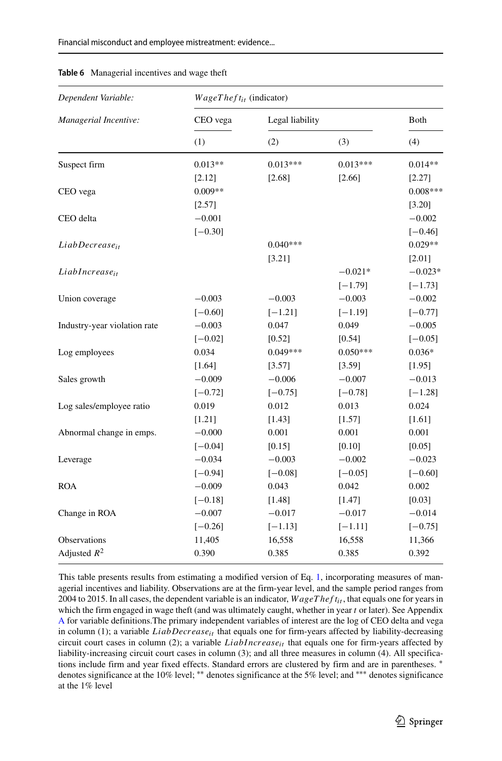| Dependent Variable:          |           | $WageThe fit_{it}$ (indicator) |            |            |  |  |
|------------------------------|-----------|--------------------------------|------------|------------|--|--|
| Managerial Incentive:        | CEO vega  | Legal liability                |            | Both       |  |  |
|                              | (1)       | (2)                            | (3)        | (4)        |  |  |
| Suspect firm                 | $0.013**$ | $0.013***$                     | $0.013***$ | $0.014**$  |  |  |
|                              | [2.12]    | [2.68]                         | [2.66]     | [2.27]     |  |  |
| CEO vega                     | $0.009**$ |                                |            | $0.008***$ |  |  |
|                              | [2.57]    |                                |            | [3.20]     |  |  |
| CEO delta                    | $-0.001$  |                                |            | $-0.002$   |  |  |
|                              | $[-0.30]$ |                                |            | $[-0.46]$  |  |  |
| LiabDecrease <sub>it</sub>   |           | $0.040***$                     |            | $0.029**$  |  |  |
|                              |           | [3.21]                         |            | [2.01]     |  |  |
| LiabIncrease <sub>it</sub>   |           |                                | $-0.021*$  | $-0.023*$  |  |  |
|                              |           |                                | $[-1.79]$  | $[-1.73]$  |  |  |
| Union coverage               | $-0.003$  | $-0.003$                       | $-0.003$   | $-0.002$   |  |  |
|                              | $[-0.60]$ | $[-1.21]$                      | $[-1.19]$  | $[-0.77]$  |  |  |
| Industry-year violation rate | $-0.003$  | 0.047                          | 0.049      | $-0.005$   |  |  |
|                              | $[-0.02]$ | [0.52]                         | [0.54]     | $[-0.05]$  |  |  |
| Log employees                | 0.034     | $0.049***$                     | $0.050***$ | $0.036*$   |  |  |
|                              | [1.64]    | [3.57]                         | [3.59]     | [1.95]     |  |  |
| Sales growth                 | $-0.009$  | $-0.006$                       | $-0.007$   | $-0.013$   |  |  |
|                              | $[-0.72]$ | $[-0.75]$                      | $[-0.78]$  | $[-1.28]$  |  |  |
| Log sales/employee ratio     | 0.019     | 0.012                          | 0.013      | 0.024      |  |  |
|                              | $[1.21]$  | [1.43]                         | [1.57]     | [1.61]     |  |  |
| Abnormal change in emps.     | $-0.000$  | 0.001                          | 0.001      | 0.001      |  |  |
|                              | $[-0.04]$ | [0.15]                         | [0.10]     | [0.05]     |  |  |
| Leverage                     | $-0.034$  | $-0.003$                       | $-0.002$   | $-0.023$   |  |  |
|                              | $[-0.94]$ | $[-0.08]$                      | $[-0.05]$  | $[-0.60]$  |  |  |
| <b>ROA</b>                   | $-0.009$  | 0.043                          | 0.042      | 0.002      |  |  |
|                              | $[-0.18]$ | [1.48]                         | [1.47]     | [0.03]     |  |  |
| Change in ROA                | $-0.007$  | $-0.017$                       | $-0.017$   | $-0.014$   |  |  |
|                              | $[-0.26]$ | $[-1.13]$                      | $[-1.11]$  | $[-0.75]$  |  |  |
| Observations                 | 11,405    | 16,558                         | 16,558     | 11,366     |  |  |
| Adjusted $R^2$               | 0.390     | 0.385                          | 0.385      | 0.392      |  |  |
|                              |           |                                |            |            |  |  |

#### <span id="page-20-0"></span>**Table 6** Managerial incentives and wage theft

This table presents results from estimating a modified version of Eq. [1,](#page-8-1) incorporating measures of managerial incentives and liability. Observations are at the firm-year level, and the sample period ranges from 2004 to 2015. In all cases, the dependent variable is an indicator,  $WageThe fit_{it}$ , that equals one for years in which the firm engaged in wage theft (and was ultimately caught, whether in year *t* or later). See Appendix [A](#page-34-0) for variable definitions.The primary independent variables of interest are the log of CEO delta and vega in column (1); a variable *LiabDecreaseit* that equals one for firm-years affected by liability-decreasing circuit court cases in column (2); a variable *LiabI ncreaseit* that equals one for firm-years affected by liability-increasing circuit court cases in column (3); and all three measures in column (4). All specifications include firm and year fixed effects. Standard errors are clustered by firm and are in parentheses. <sup>∗</sup> denotes significance at the 10% level; ∗∗ denotes significance at the 5% level; and ∗∗∗ denotes significance at the 1% level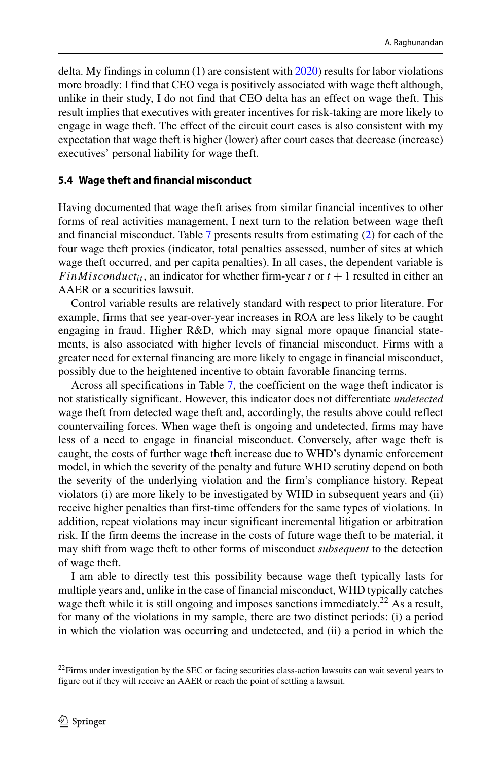delta. My findings in column  $(1)$  are consistent with  $2020$  results for labor violations more broadly: I find that CEO vega is positively associated with wage theft although, unlike in their study, I do not find that CEO delta has an effect on wage theft. This result implies that executives with greater incentives for risk-taking are more likely to engage in wage theft. The effect of the circuit court cases is also consistent with my expectation that wage theft is higher (lower) after court cases that decrease (increase) executives' personal liability for wage theft.

#### <span id="page-21-1"></span>**5.4 Wage theft and financial misconduct**

Having documented that wage theft arises from similar financial incentives to other forms of real activities management, I next turn to the relation between wage theft and financial misconduct. Table [7](#page-22-0) presents results from estimating [\(2\)](#page-10-2) for each of the four wage theft proxies (indicator, total penalties assessed, number of sites at which wage theft occurred, and per capita penalties). In all cases, the dependent variable is *F inM is conduct<sub>it</sub>*, an indicator for whether firm-year *t* or  $t + 1$  resulted in either an AAER or a securities lawsuit.

Control variable results are relatively standard with respect to prior literature. For example, firms that see year-over-year increases in ROA are less likely to be caught engaging in fraud. Higher R&D, which may signal more opaque financial statements, is also associated with higher levels of financial misconduct. Firms with a greater need for external financing are more likely to engage in financial misconduct, possibly due to the heightened incentive to obtain favorable financing terms.

Across all specifications in Table [7,](#page-22-0) the coefficient on the wage theft indicator is not statistically significant. However, this indicator does not differentiate *undetected* wage theft from detected wage theft and, accordingly, the results above could reflect countervailing forces. When wage theft is ongoing and undetected, firms may have less of a need to engage in financial misconduct. Conversely, after wage theft is caught, the costs of further wage theft increase due to WHD's dynamic enforcement model, in which the severity of the penalty and future WHD scrutiny depend on both the severity of the underlying violation and the firm's compliance history. Repeat violators (i) are more likely to be investigated by WHD in subsequent years and (ii) receive higher penalties than first-time offenders for the same types of violations. In addition, repeat violations may incur significant incremental litigation or arbitration risk. If the firm deems the increase in the costs of future wage theft to be material, it may shift from wage theft to other forms of misconduct *subsequent* to the detection of wage theft.

I am able to directly test this possibility because wage theft typically lasts for multiple years and, unlike in the case of financial misconduct, WHD typically catches wage theft while it is still ongoing and imposes sanctions immediately.<sup>22</sup> As a result, for many of the violations in my sample, there are two distinct periods: (i) a period in which the violation was occurring and undetected, and (ii) a period in which the

<span id="page-21-0"></span><sup>&</sup>lt;sup>22</sup>Firms under investigation by the SEC or facing securities class-action lawsuits can wait several years to figure out if they will receive an AAER or reach the point of settling a lawsuit.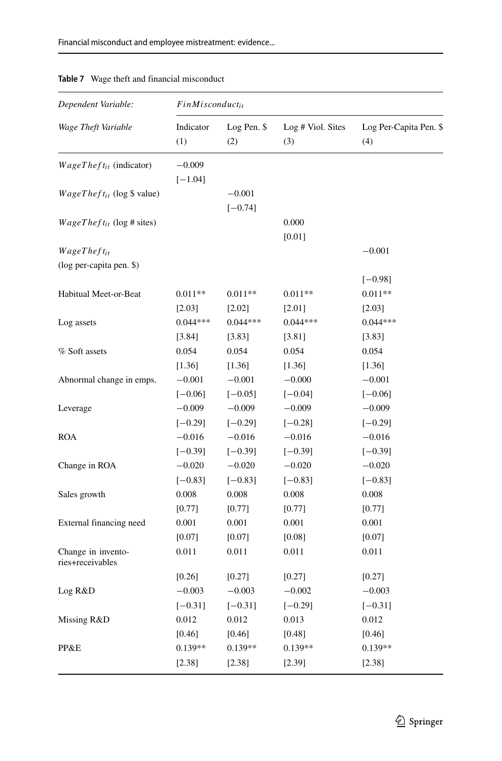| Dependent Variable:                            | FinMisconduct <sub>it</sub> |                       |                   |                        |  |
|------------------------------------------------|-----------------------------|-----------------------|-------------------|------------------------|--|
| Wage Theft Variable                            | Indicator                   | Log Pen. \$           | Log # Viol. Sites | Log Per-Capita Pen. \$ |  |
|                                                | (1)                         | (2)                   | (3)               | (4)                    |  |
| $WageThe fit_{it}$ (indicator)                 | $-0.009$<br>$[-1.04]$       |                       |                   |                        |  |
| $WageTheft_{it}$ (log \$ value)                |                             | $-0.001$<br>$[-0.74]$ |                   |                        |  |
| $WageTheft_{it}$ (log # sites)                 |                             |                       | 0.000<br>$[0.01]$ |                        |  |
| $WageThe fit_{it}$<br>(log per-capita pen. \$) |                             |                       |                   | $-0.001$               |  |
|                                                |                             |                       |                   | $[-0.98]$              |  |
| Habitual Meet-or-Beat                          | $0.011**$                   | $0.011**$             | $0.011**$         | $0.011**$              |  |
|                                                | [2.03]                      | [2.02]                | [2.01]            | [2.03]                 |  |
| Log assets                                     | $0.044***$                  | $0.044***$            | $0.044***$        | $0.044***$             |  |
|                                                | [3.84]                      | $[3.83]$              | [3.81]            | [3.83]                 |  |
| % Soft assets                                  | 0.054                       | 0.054                 | 0.054             | 0.054                  |  |
| Abnormal change in emps.                       | [1.36]                      | $[1.36]$              | [1.36]            | [1.36]                 |  |
|                                                | $-0.001$                    | $-0.001$              | $-0.000$          | $-0.001$               |  |
| Leverage                                       | $[-0.06]$                   | $[-0.05]$             | $[-0.04]$         | $[-0.06]$              |  |
|                                                | $-0.009$                    | $-0.009$              | $-0.009$          | $-0.009$               |  |
| <b>ROA</b>                                     | $[-0.29]$                   | $[-0.29]$             | $[-0.28]$         | $[-0.29]$              |  |
|                                                | $-0.016$                    | $-0.016$              | $-0.016$          | $-0.016$               |  |
| Change in ROA                                  | $[-0.39]$                   | $[-0.39]$             | $[-0.39]$         | $[-0.39]$              |  |
|                                                | $-0.020$                    | $-0.020$              | $-0.020$          | $-0.020$               |  |
|                                                | $[-0.83]$                   | $[-0.83]$             | $[-0.83]$         | $[-0.83]$              |  |
| Sales growth                                   | 0.008                       | 0.008                 | 0.008             | 0.008                  |  |
|                                                | [0.77]                      | $[0.77]$              | [0.77]            | [0.77]                 |  |
| External financing need                        | 0.001                       | 0.001                 | 0.001             | 0.001                  |  |
|                                                | [0.07]                      | [0.07]                | [0.08]            | [0.07]                 |  |
| Change in invento-<br>ries+receivables         | 0.011                       | 0.011                 | 0.011             | 0.011                  |  |
| Log R&D                                        | [0.26]                      | $[0.27]$              | [0.27]            | [0.27]                 |  |
|                                                | $-0.003$                    | $-0.003$              | $-0.002$          | $-0.003$               |  |
| Missing R&D                                    | $[-0.31]$                   | $[-0.31]$             | $[-0.29]$         | $[-0.31]$              |  |
|                                                | 0.012                       | 0.012                 | 0.013             | 0.012                  |  |
|                                                | [0.46]                      | $[0.46]$              | [0.48]            | [0.46]                 |  |
| PP&E                                           | $0.139**$                   | $0.139**$             | $0.139**$         | $0.139**$              |  |
|                                                | [2.38]                      | [2.38]                | [2.39]            | [2.38]                 |  |

#### <span id="page-22-0"></span>**Table 7** Wage theft and financial misconduct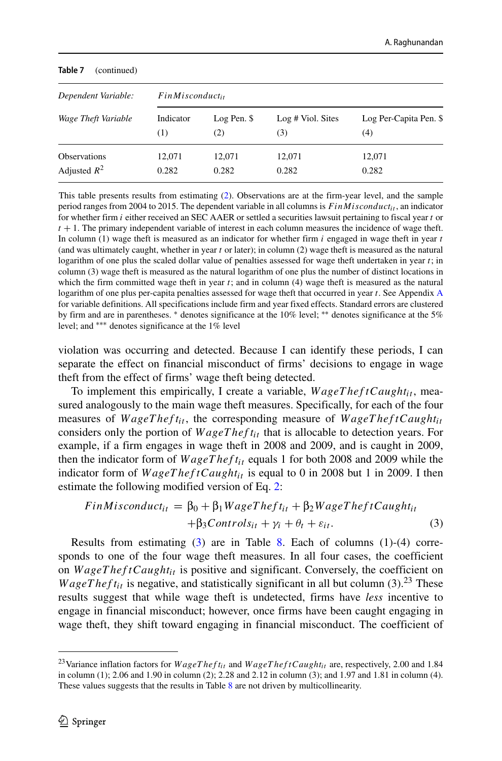<span id="page-23-1"></span>

| Table 7<br>(continued) |           |                      |                   |                        |  |  |
|------------------------|-----------|----------------------|-------------------|------------------------|--|--|
| Dependent Variable:    |           | $FinMisconduct_{it}$ |                   |                        |  |  |
| Wage Theft Variable    | Indicator | Log Pen. \$          | Log # Viol. Sites | Log Per-Capita Pen. \$ |  |  |
|                        | (1)       | (2)                  | (3)               | (4)                    |  |  |
| <b>Observations</b>    | 12,071    | 12,071               | 12,071            | 12,071                 |  |  |
| Adjusted $R^2$         | 0.282     | 0.282                | 0.282             | 0.282                  |  |  |

This table presents results from estimating [\(2\)](#page-10-2). Observations are at the firm-year level, and the sample period ranges from 2004 to 2015. The dependent variable in all columns is  $F \in \mathcal{F} \in \mathcal{F}$  in  $\mathcal{F} \in \mathcal{F}$  an indicator for whether firm *i* either received an SEC AAER or settled a securities lawsuit pertaining to fiscal year *t* or  $t + 1$ . The primary independent variable of interest in each column measures the incidence of wage theft. In column (1) wage theft is measured as an indicator for whether firm *i* engaged in wage theft in year *t* (and was ultimately caught, whether in year *t* or later); in column (2) wage theft is measured as the natural logarithm of one plus the scaled dollar value of penalties assessed for wage theft undertaken in year *t*; in column (3) wage theft is measured as the natural logarithm of one plus the number of distinct locations in which the firm committed wage theft in year *t*; and in column (4) wage theft is measured as the natural logarithm of one plus per-capita penalties assessed for wage theft that occurred in year *t*. See Appendix [A](#page-34-0) for variable definitions. All specifications include firm and year fixed effects. Standard errors are clustered by firm and are in parentheses. ∗ denotes significance at the 10% level; ∗∗ denotes significance at the 5% level; and ∗∗∗ denotes significance at the 1% level

violation was occurring and detected. Because I can identify these periods, I can separate the effect on financial misconduct of firms' decisions to engage in wage theft from the effect of firms' wage theft being detected.

To implement this empirically, I create a variable,  $WageTheftCaught_{it}$ , measured analogously to the main wage theft measures. Specifically, for each of the four measures of  $WageTheft_{it}$ , the corresponding measure of  $WageTheftCaught_{it}$ considers only the portion of *W ageT hef t<sub>it</sub>* that is allocable to detection years. For example, if a firm engages in wage theft in 2008 and 2009, and is caught in 2009, then the indicator form of  $WageTheft_{it}$  equals 1 for both 2008 and 2009 while the indicator form of  $WageTheftCaught_{it}$  is equal to 0 in 2008 but 1 in 2009. I then estimate the following modified version of Eq. [2:](#page-10-2)

<span id="page-23-0"></span>
$$
FinMisconduct_{it} = \beta_0 + \beta_1 WageTheft_{it} + \beta_2 WageTheftCaught_{it}
$$

$$
+ \beta_3 Controls_{it} + \gamma_i + \theta_t + \varepsilon_{it}.
$$
 (3)

Results from estimating [\(3\)](#page-23-0) are in Table [8.](#page-23-1) Each of columns (1)-(4) corresponds to one of the four wage theft measures. In all four cases, the coefficient on  $WageTheftCaught_{it}$  is positive and significant. Conversely, the coefficient on *WageTheft<sub>it</sub>* is negative, and statistically significant in all but column (3).<sup>23</sup> These results suggest that while wage theft is undetected, firms have *less* incentive to engage in financial misconduct; however, once firms have been caught engaging in wage theft, they shift toward engaging in financial misconduct. The coefficient of

<span id="page-23-2"></span><sup>&</sup>lt;sup>23</sup>Variance inflation factors for  $WageThef_{ti}$  and  $WageThef_{ti}$  and  $WageThef_{ti}$  are, respectively, 2.00 and 1.84 in column (1); 2.06 and 1.90 in column (2); 2.28 and 2.12 in column (3); and 1.97 and 1.81 in column (4). These values suggests that the results in Table [8](#page-23-1) are not driven by multicollinearity.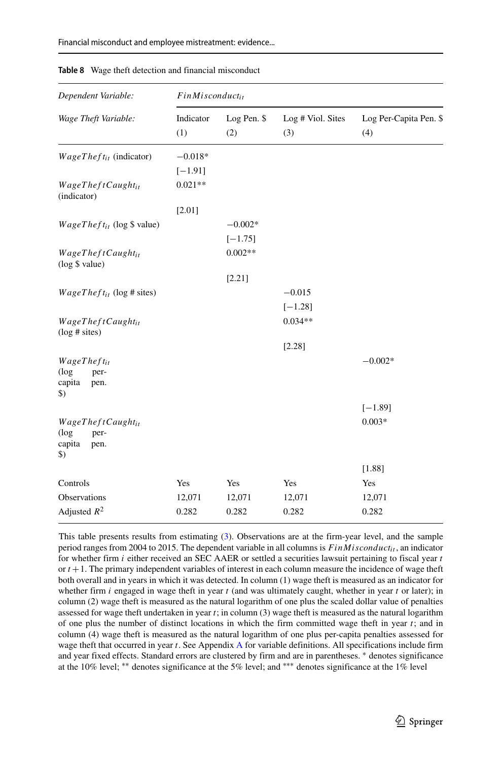| Dependent Variable:                                                      | $FinMisconduct_{it}$ |                    |                          |                               |
|--------------------------------------------------------------------------|----------------------|--------------------|--------------------------|-------------------------------|
| Wage Theft Variable:                                                     | Indicator<br>(1)     | Log Pen. \$<br>(2) | Log # Viol. Sites<br>(3) | Log Per-Capita Pen. \$<br>(4) |
| $WageThe ft_{it}$ (indicator)                                            | $-0.018*$            |                    |                          |                               |
|                                                                          | $[-1.91]$            |                    |                          |                               |
| $WageThe ftCaught_{it}$<br>(indicator)                                   | $0.021**$            |                    |                          |                               |
|                                                                          | [2.01]               |                    |                          |                               |
| $WageTheft_{it}$ (log \$ value)                                          |                      | $-0.002*$          |                          |                               |
|                                                                          |                      | $[-1.75]$          |                          |                               |
| $WageThe ftCaught_{it}$<br>(log \$ value)                                |                      | $0.002**$          |                          |                               |
|                                                                          |                      | [2.21]             |                          |                               |
| $WageTheft_{it}$ (log # sites)                                           |                      |                    | $-0.015$                 |                               |
|                                                                          |                      |                    | $[-1.28]$                |                               |
| WageTheftCaught <sub>it</sub><br>$(\log \# \text{ sites})$               |                      |                    | $0.034**$                |                               |
|                                                                          |                      |                    | [2.28]                   |                               |
| $WageThe fit_{it}$<br>$(\log$<br>per-<br>capita<br>pen.<br>$\mathcal{L}$ |                      |                    |                          | $-0.002*$                     |
|                                                                          |                      |                    |                          | $[-1.89]$                     |
| WageTheftCaughtit<br>$(\log$<br>per-<br>capita<br>pen.<br>\$)            |                      |                    |                          | $0.003*$                      |
|                                                                          |                      |                    |                          | [1.88]                        |
| Controls                                                                 | Yes                  | Yes                | Yes                      | Yes                           |
| Observations                                                             | 12,071               | 12,071             | 12,071                   | 12,071                        |
| Adjusted $R^2$                                                           | 0.282                | 0.282              | 0.282                    | 0.282                         |

**Table 8** Wage theft detection and financial misconduct

This table presents results from estimating [\(3\)](#page-23-0). Observations are at the firm-year level, and the sample period ranges from 2004 to 2015. The dependent variable in all columns is  $FinM is conduct_{it}$ , an indicator for whether firm *i* either received an SEC AAER or settled a securities lawsuit pertaining to fiscal year *t* or  $t + 1$ . The primary independent variables of interest in each column measure the incidence of wage theft both overall and in years in which it was detected. In column (1) wage theft is measured as an indicator for whether firm *i* engaged in wage theft in year *t* (and was ultimately caught, whether in year *t* or later); in column (2) wage theft is measured as the natural logarithm of one plus the scaled dollar value of penalties assessed for wage theft undertaken in year *t*; in column (3) wage theft is measured as the natural logarithm of one plus the number of distinct locations in which the firm committed wage theft in year *t*; and in column (4) wage theft is measured as the natural logarithm of one plus per-capita penalties assessed for wage theft that occurred in year *t*. See Appendix [A](#page-34-0) for variable definitions. All specifications include firm and year fixed effects. Standard errors are clustered by firm and are in parentheses. ∗ denotes significance at the 10% level; ∗∗ denotes significance at the 5% level; and ∗∗∗ denotes significance at the 1% level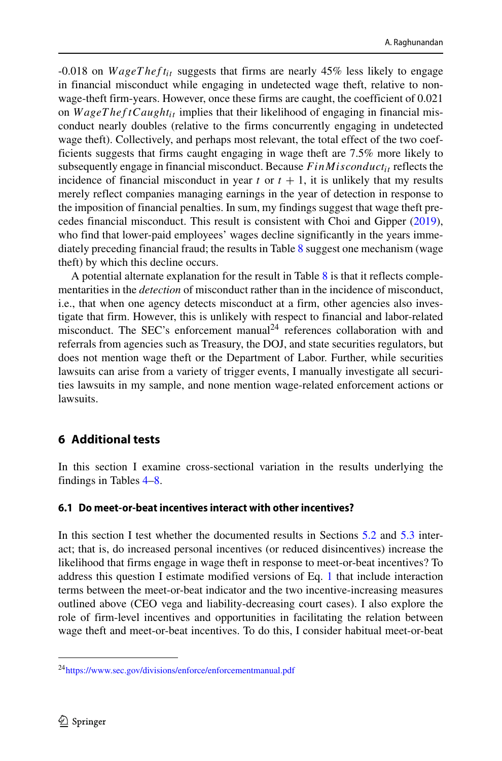-0.018 on *W ageT hef tit* suggests that firms are nearly 45% less likely to engage in financial misconduct while engaging in undetected wage theft, relative to nonwage-theft firm-years. However, once these firms are caught, the coefficient of 0.021 on  $WageTheftCaught_{it}$  implies that their likelihood of engaging in financial misconduct nearly doubles (relative to the firms concurrently engaging in undetected wage theft). Collectively, and perhaps most relevant, the total effect of the two coefficients suggests that firms caught engaging in wage theft are 7.5% more likely to subsequently engage in financial misconduct. Because  $FinM is conduct_{it}$  reflects the incidence of financial misconduct in year  $t$  or  $t + 1$ , it is unlikely that my results merely reflect companies managing earnings in the year of detection in response to the imposition of financial penalties. In sum, my findings suggest that wage theft precedes financial misconduct. This result is consistent with Choi and Gipper [\(2019\)](#page-37-27), who find that lower-paid employees' wages decline significantly in the years immediately preceding financial fraud; the results in Table [8](#page-23-1) suggest one mechanism (wage theft) by which this decline occurs.

A potential alternate explanation for the result in Table [8](#page-23-1) is that it reflects complementarities in the *detection* of misconduct rather than in the incidence of misconduct, i.e., that when one agency detects misconduct at a firm, other agencies also investigate that firm. However, this is unlikely with respect to financial and labor-related misconduct. The SEC's enforcement manual<sup>[24](#page-25-0)</sup> references collaboration with and referrals from agencies such as Treasury, the DOJ, and state securities regulators, but does not mention wage theft or the Department of Labor. Further, while securities lawsuits can arise from a variety of trigger events, I manually investigate all securities lawsuits in my sample, and none mention wage-related enforcement actions or lawsuits.

# **6 Additional tests**

In this section I examine cross-sectional variation in the results underlying the findings in Tables [4–](#page-16-0)[8.](#page-23-1)

## **6.1 Do meet-or-beat incentives interact with other incentives?**

In this section I test whether the documented results in Sections [5.2](#page-14-1) and [5.3](#page-17-1) interact; that is, do increased personal incentives (or reduced disincentives) increase the likelihood that firms engage in wage theft in response to meet-or-beat incentives? To address this question I estimate modified versions of Eq. [1](#page-8-1) that include interaction terms between the meet-or-beat indicator and the two incentive-increasing measures outlined above (CEO vega and liability-decreasing court cases). I also explore the role of firm-level incentives and opportunities in facilitating the relation between wage theft and meet-or-beat incentives. To do this, I consider habitual meet-or-beat

<span id="page-25-0"></span><sup>2</sup>[4https://www.sec.gov/divisions/enforce/enforcementmanual.pdf](https://www.sec.gov/divisions/enforce/enforcementmanual.pdf)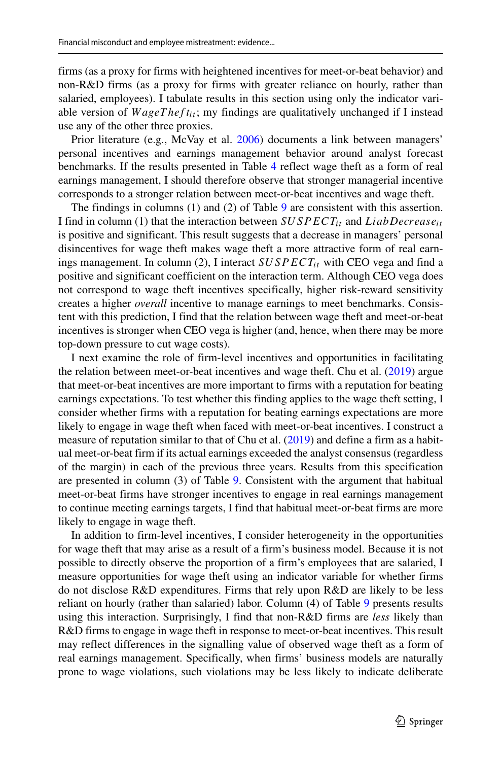firms (as a proxy for firms with heightened incentives for meet-or-beat behavior) and non-R&D firms (as a proxy for firms with greater reliance on hourly, rather than salaried, employees). I tabulate results in this section using only the indicator variable version of *WageTheft<sub>it</sub>*; my findings are qualitatively unchanged if I instead use any of the other three proxies.

Prior literature (e.g., McVay et al. [2006\)](#page-38-6) documents a link between managers' personal incentives and earnings management behavior around analyst forecast benchmarks. If the results presented in Table [4](#page-16-0) reflect wage theft as a form of real earnings management, I should therefore observe that stronger managerial incentive corresponds to a stronger relation between meet-or-beat incentives and wage theft.

The findings in columns (1) and (2) of Table [9](#page-27-0) are consistent with this assertion. I find in column (1) that the interaction between *SUSPECTit* and *LiabDecreaseit* is positive and significant. This result suggests that a decrease in managers' personal disincentives for wage theft makes wage theft a more attractive form of real earnings management. In column (2), I interact *SUSPECT<sub>it</sub>* with CEO vega and find a positive and significant coefficient on the interaction term. Although CEO vega does not correspond to wage theft incentives specifically, higher risk-reward sensitivity creates a higher *overall* incentive to manage earnings to meet benchmarks. Consistent with this prediction, I find that the relation between wage theft and meet-or-beat incentives is stronger when CEO vega is higher (and, hence, when there may be more top-down pressure to cut wage costs).

I next examine the role of firm-level incentives and opportunities in facilitating the relation between meet-or-beat incentives and wage theft. Chu et al. [\(2019\)](#page-37-1) argue that meet-or-beat incentives are more important to firms with a reputation for beating earnings expectations. To test whether this finding applies to the wage theft setting, I consider whether firms with a reputation for beating earnings expectations are more likely to engage in wage theft when faced with meet-or-beat incentives. I construct a measure of reputation similar to that of Chu et al. [\(2019\)](#page-37-1) and define a firm as a habitual meet-or-beat firm if its actual earnings exceeded the analyst consensus (regardless of the margin) in each of the previous three years. Results from this specification are presented in column (3) of Table [9.](#page-27-0) Consistent with the argument that habitual meet-or-beat firms have stronger incentives to engage in real earnings management to continue meeting earnings targets, I find that habitual meet-or-beat firms are more likely to engage in wage theft.

In addition to firm-level incentives, I consider heterogeneity in the opportunities for wage theft that may arise as a result of a firm's business model. Because it is not possible to directly observe the proportion of a firm's employees that are salaried, I measure opportunities for wage theft using an indicator variable for whether firms do not disclose R&D expenditures. Firms that rely upon R&D are likely to be less reliant on hourly (rather than salaried) labor. Column (4) of Table [9](#page-27-0) presents results using this interaction. Surprisingly, I find that non-R&D firms are *less* likely than R&D firms to engage in wage theft in response to meet-or-beat incentives. This result may reflect differences in the signalling value of observed wage theft as a form of real earnings management. Specifically, when firms' business models are naturally prone to wage violations, such violations may be less likely to indicate deliberate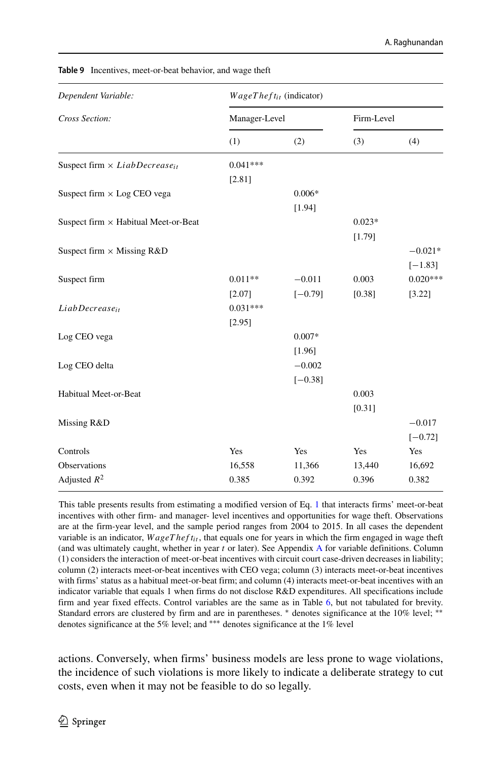| Dependent Variable:                              | $WageTheft_{it}$ (indicator) |           |            |            |  |  |
|--------------------------------------------------|------------------------------|-----------|------------|------------|--|--|
| Cross Section:                                   | Manager-Level                |           | Firm-Level |            |  |  |
|                                                  | (1)                          | (2)       | (3)        | (4)        |  |  |
| Suspect firm $\times$ LiabDecrease <sub>it</sub> | $0.041***$                   |           |            |            |  |  |
|                                                  | [2.81]                       |           |            |            |  |  |
| Suspect firm $\times$ Log CEO vega               |                              | $0.006*$  |            |            |  |  |
|                                                  |                              | [1.94]    |            |            |  |  |
| Suspect firm $\times$ Habitual Meet-or-Beat      |                              |           | $0.023*$   |            |  |  |
|                                                  |                              |           | [1.79]     |            |  |  |
| Suspect firm $\times$ Missing R&D                |                              |           |            | $-0.021*$  |  |  |
|                                                  |                              |           |            | $[-1.83]$  |  |  |
| Suspect firm                                     | $0.011**$                    | $-0.011$  | 0.003      | $0.020***$ |  |  |
|                                                  | [2.07]                       | $[-0.79]$ | [0.38]     | [3.22]     |  |  |
| $LiabDecrease_{it}$                              | $0.031***$                   |           |            |            |  |  |
|                                                  | [2.95]                       |           |            |            |  |  |
| Log CEO vega                                     |                              | $0.007*$  |            |            |  |  |
|                                                  |                              | [1.96]    |            |            |  |  |
| Log CEO delta                                    |                              | $-0.002$  |            |            |  |  |
|                                                  |                              | $[-0.38]$ |            |            |  |  |
| Habitual Meet-or-Beat                            |                              |           | 0.003      |            |  |  |
|                                                  |                              |           | [0.31]     |            |  |  |
| Missing R&D                                      |                              |           |            | $-0.017$   |  |  |
|                                                  |                              |           |            | $[-0.72]$  |  |  |
| Controls                                         | Yes                          | Yes       | Yes        | Yes        |  |  |
| Observations                                     | 16,558                       | 11,366    | 13,440     | 16,692     |  |  |
| Adjusted $R^2$                                   | 0.385                        | 0.392     | 0.396      | 0.382      |  |  |

<span id="page-27-0"></span>**Table 9** Incentives, meet-or-beat behavior, and wage theft

This table presents results from estimating a modified version of Eq. [1](#page-8-1) that interacts firms' meet-or-beat incentives with other firm- and manager- level incentives and opportunities for wage theft. Observations are at the firm-year level, and the sample period ranges from 2004 to 2015. In all cases the dependent variable is an indicator,  $WageThe  $f_{ti}$ , that equals one for years in which the firm engaged in wage theft$ (and was ultimately caught, whether in year *t* or later). See Appendix [A](#page-34-0) for variable definitions. Column (1) considers the interaction of meet-or-beat incentives with circuit court case-driven decreases in liability; column (2) interacts meet-or-beat incentives with CEO vega; column (3) interacts meet-or-beat incentives with firms' status as a habitual meet-or-beat firm; and column (4) interacts meet-or-beat incentives with an indicator variable that equals 1 when firms do not disclose R&D expenditures. All specifications include firm and year fixed effects. Control variables are the same as in Table [6,](#page-20-0) but not tabulated for brevity. Standard errors are clustered by firm and are in parentheses. \* denotes significance at the 10% level; \*\* denotes significance at the 5% level; and ∗∗∗ denotes significance at the 1% level

actions. Conversely, when firms' business models are less prone to wage violations, the incidence of such violations is more likely to indicate a deliberate strategy to cut costs, even when it may not be feasible to do so legally.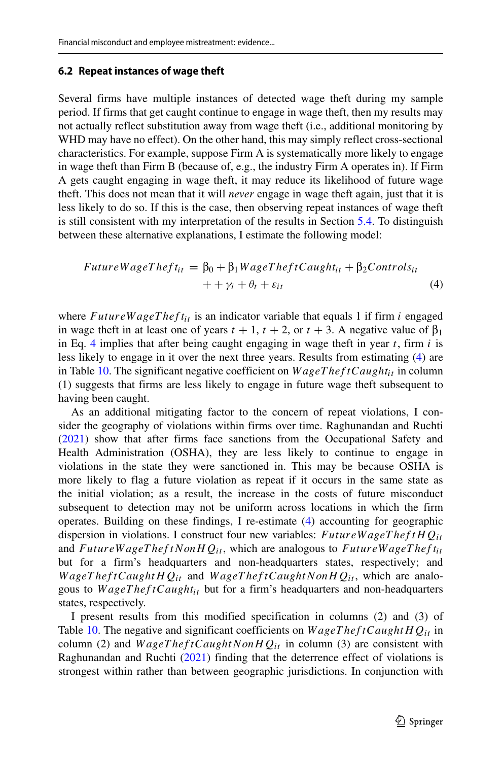#### <span id="page-28-1"></span>**6.2 Repeat instances of wage theft**

Several firms have multiple instances of detected wage theft during my sample period. If firms that get caught continue to engage in wage theft, then my results may not actually reflect substitution away from wage theft (i.e., additional monitoring by WHD may have no effect). On the other hand, this may simply reflect cross-sectional characteristics. For example, suppose Firm A is systematically more likely to engage in wage theft than Firm B (because of, e.g., the industry Firm A operates in). If Firm A gets caught engaging in wage theft, it may reduce its likelihood of future wage theft. This does not mean that it will *never* engage in wage theft again, just that it is less likely to do so. If this is the case, then observing repeat instances of wage theft is still consistent with my interpretation of the results in Section [5.4.](#page-21-1) To distinguish between these alternative explanations, I estimate the following model:

<span id="page-28-0"></span>
$$
FutureWageTheft_{it} = \beta_0 + \beta_1 WageTheftCaught_{it} + \beta_2 Controls_{it}
$$
  
 
$$
+ \gamma_i + \theta_t + \varepsilon_{it}
$$
 (4)

where  $FutureWageThef_{it}$  is an indicator variable that equals 1 if firm *i* engaged in wage theft in at least one of years  $t + 1$ ,  $t + 2$ , or  $t + 3$ . A negative value of  $\beta_1$ in Eq. [4](#page-28-0) implies that after being caught engaging in wage theft in year *t*, firm *i* is less likely to engage in it over the next three years. Results from estimating [\(4\)](#page-28-0) are in Table [10.](#page-29-0) The significant negative coefficient on  $WageTheftCaught_{it}$  in column (1) suggests that firms are less likely to engage in future wage theft subsequent to having been caught.

As an additional mitigating factor to the concern of repeat violations, I consider the geography of violations within firms over time. Raghunandan and Ruchti [\(2021\)](#page-38-7) show that after firms face sanctions from the Occupational Safety and Health Administration (OSHA), they are less likely to continue to engage in violations in the state they were sanctioned in. This may be because OSHA is more likely to flag a future violation as repeat if it occurs in the same state as the initial violation; as a result, the increase in the costs of future misconduct subsequent to detection may not be uniform across locations in which the firm operates. Building on these findings, I re-estimate [\(4\)](#page-28-0) accounting for geographic dispersion in violations. I construct four new variables: *F utureW ageT hef tHQit* and *F utureW ageT hef tNonHQit* , which are analogous to *F utureW ageT hef tit* but for a firm's headquarters and non-headquarters states, respectively; and *W ageT hef tCaughtHQit* and *W ageT hef tCaughtNonHQit* , which are analogous to *WageTheftCaught<sub>it</sub>* but for a firm's headquarters and non-headquarters states, respectively.

I present results from this modified specification in columns (2) and (3) of Table [10.](#page-29-0) The negative and significant coefficients on *W ageT hef tCaughtHQit* in column (2) and  $WageThe ftCaughtNonHQ_{it}$  in column (3) are consistent with Raghunandan and Ruchti [\(2021\)](#page-38-7) finding that the deterrence effect of violations is strongest within rather than between geographic jurisdictions. In conjunction with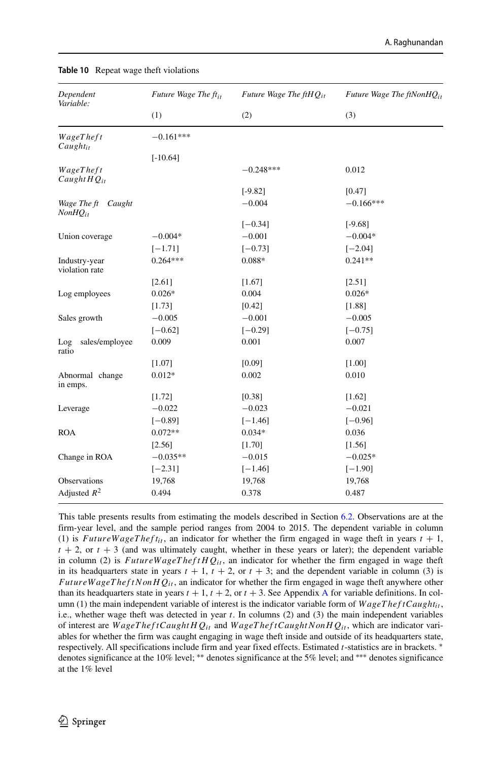| Dependent<br>Variable:                | Future Wage The ft <sub>it</sub> | Future Wage The $ftHQ_{it}$ | Future Wage The $ftNonHQ_{it}$ |  |
|---------------------------------------|----------------------------------|-----------------------------|--------------------------------|--|
|                                       | (1)                              | (2)                         | (3)                            |  |
| WageTheft<br>$Caught_{it}$            | $-0.161***$                      |                             |                                |  |
|                                       | $[-10.64]$                       |                             |                                |  |
| WageTheft<br>Caught $HQ_{it}$         |                                  | $-0.248***$                 | 0.012                          |  |
|                                       |                                  | $[-9.82]$                   | [0.47]                         |  |
| Wage The ft<br>Caught<br>$NonHQ_{it}$ |                                  | $-0.004$                    | $-0.166***$                    |  |
|                                       |                                  | $[-0.34]$                   | $[-9.68]$                      |  |
| Union coverage                        | $-0.004*$                        | $-0.001$                    | $-0.004*$                      |  |
|                                       | $[-1.71]$                        | $[-0.73]$                   | $[-2.04]$                      |  |
| Industry-year<br>violation rate       | $0.264***$                       | $0.088*$                    | $0.241**$                      |  |
|                                       | [2.61]                           | [1.67]                      | [2.51]                         |  |
| Log employees                         | $0.026*$                         | 0.004                       | $0.026*$                       |  |
|                                       | [1.73]                           | [0.42]                      | [1.88]                         |  |
| Sales growth                          | $-0.005$                         | $-0.001$                    | $-0.005$                       |  |
|                                       | $[-0.62]$                        | $[-0.29]$                   | $[-0.75]$                      |  |
| sales/employee<br>Log<br>ratio        | 0.009                            | 0.001                       | 0.007                          |  |
|                                       | [1.07]                           | [0.09]                      | [1.00]                         |  |
| Abnormal change<br>in emps.           | $0.012*$                         | 0.002                       | 0.010                          |  |
|                                       | [1.72]                           | [0.38]                      | $[1.62]$                       |  |
| Leverage                              | $-0.022$                         | $-0.023$                    | $-0.021$                       |  |
|                                       | $[-0.89]$                        | $[-1.46]$                   | $[-0.96]$                      |  |
| <b>ROA</b>                            | $0.072**$                        | $0.034*$                    | 0.036                          |  |
|                                       | [2.56]                           | [1.70]                      | [1.56]                         |  |
| Change in ROA                         | $-0.035**$                       | $-0.015$                    | $-0.025*$                      |  |
|                                       | $[-2.31]$                        | $[-1.46]$                   | $[-1.90]$                      |  |
| Observations                          | 19,768                           | 19,768                      | 19,768                         |  |
| Adjusted $R^2$                        | 0.494                            | 0.378                       | 0.487                          |  |

<span id="page-29-0"></span>**Table 10** Repeat wage theft violations

This table presents results from estimating the models described in Section [6.2.](#page-28-1) Observations are at the firm-year level, and the sample period ranges from 2004 to 2015. The dependent variable in column (1) is *FutureWageTheft<sub>it</sub>*, an indicator for whether the firm engaged in wage theft in years  $t + 1$ ,  $t + 2$ , or  $t + 3$  (and was ultimately caught, whether in these years or later); the dependent variable in column (2) is  $FutureWagerheftHQ<sub>it</sub>$ , an indicator for whether the firm engaged in wage theft in its headquarters state in years  $t + 1$ ,  $t + 2$ , or  $t + 3$ ; and the dependent variable in column (3) is *FutureWageTheftNonHQ<sub>it</sub>*, an indicator for whether the firm engaged in wage theft anywhere other than its headquarters state in years  $t + 1$ ,  $t + 2$ , or  $t + 3$ . See [A](#page-34-0)ppendix A for variable definitions. In column (1) the main independent variable of interest is the indicator variable form of *WageTheftCaught<sub>it</sub>*, i.e., whether wage theft was detected in year *t*. In columns (2) and (3) the main independent variables of interest are *W ageT hef tCaughtHQit* and *W ageT hef tCaughtN onHQit* , which are indicator variables for whether the firm was caught engaging in wage theft inside and outside of its headquarters state, respectively. All specifications include firm and year fixed effects. Estimated *t*-statistics are in brackets. ∗ denotes significance at the 10% level; ∗∗ denotes significance at the 5% level; and ∗∗∗ denotes significance at the 1% level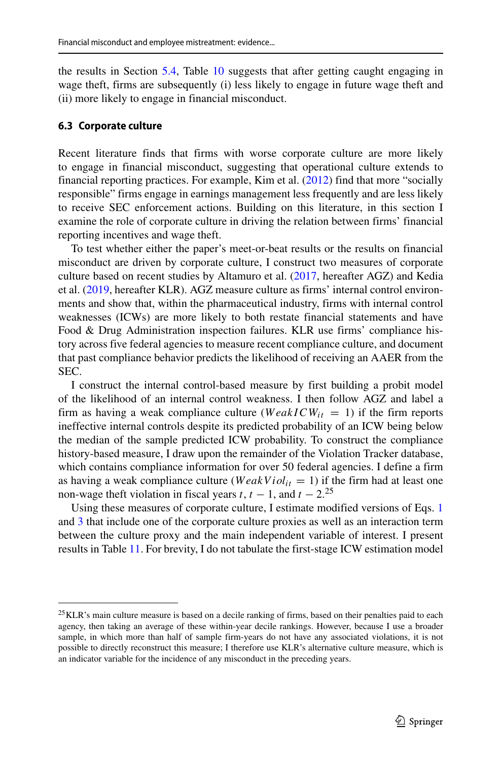the results in Section [5.4,](#page-21-1) Table [10](#page-29-0) suggests that after getting caught engaging in wage theft, firms are subsequently (i) less likely to engage in future wage theft and (ii) more likely to engage in financial misconduct.

#### <span id="page-30-1"></span>**6.3 Corporate culture**

Recent literature finds that firms with worse corporate culture are more likely to engage in financial misconduct, suggesting that operational culture extends to financial reporting practices. For example, Kim et al. [\(2012\)](#page-37-28) find that more "socially responsible" firms engage in earnings management less frequently and are less likely to receive SEC enforcement actions. Building on this literature, in this section I examine the role of corporate culture in driving the relation between firms' financial reporting incentives and wage theft.

To test whether either the paper's meet-or-beat results or the results on financial misconduct are driven by corporate culture, I construct two measures of corporate culture based on recent studies by Altamuro et al. [\(2017,](#page-36-4) hereafter AGZ) and Kedia et al. [\(2019,](#page-37-12) hereafter KLR). AGZ measure culture as firms' internal control environments and show that, within the pharmaceutical industry, firms with internal control weaknesses (ICWs) are more likely to both restate financial statements and have Food & Drug Administration inspection failures. KLR use firms' compliance history across five federal agencies to measure recent compliance culture, and document that past compliance behavior predicts the likelihood of receiving an AAER from the SEC.

I construct the internal control-based measure by first building a probit model of the likelihood of an internal control weakness. I then follow AGZ and label a firm as having a weak compliance culture ( $WeakICW_{it} = 1$ ) if the firm reports ineffective internal controls despite its predicted probability of an ICW being below the median of the sample predicted ICW probability. To construct the compliance history-based measure, I draw upon the remainder of the Violation Tracker database, which contains compliance information for over 50 federal agencies. I define a firm as having a weak compliance culture ( $WeakViol_{it} = 1$ ) if the firm had at least one non-wage theft violation in fiscal years  $t$ ,  $t - 1$ , and  $t - 2$ .<sup>[25](#page-30-0)</sup>

Using these measures of corporate culture, I estimate modified versions of Eqs. [1](#page-8-1) and [3](#page-23-0) that include one of the corporate culture proxies as well as an interaction term between the culture proxy and the main independent variable of interest. I present results in Table [11.](#page-31-0) For brevity, I do not tabulate the first-stage ICW estimation model

<span id="page-30-0"></span><sup>&</sup>lt;sup>25</sup> KLR's main culture measure is based on a decile ranking of firms, based on their penalties paid to each agency, then taking an average of these within-year decile rankings. However, because I use a broader sample, in which more than half of sample firm-years do not have any associated violations, it is not possible to directly reconstruct this measure; I therefore use KLR's alternative culture measure, which is an indicator variable for the incidence of any misconduct in the preceding years.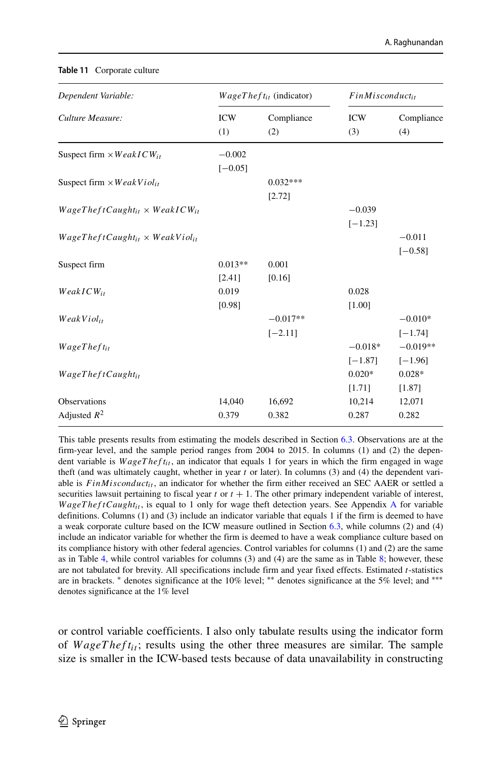| Dependent Variable:                           | $WageTheft_{it}$ (indicator) |                         | $FinMisconduct_{it}$   |                         |
|-----------------------------------------------|------------------------------|-------------------------|------------------------|-------------------------|
| Culture Measure:                              | <b>ICW</b><br>(1)            | Compliance<br>(2)       | <b>ICW</b><br>(3)      | Compliance<br>(4)       |
| Suspect firm $\times WeakICW_{it}$            | $-0.002$<br>$[-0.05]$        |                         |                        |                         |
| Suspect firm $\times WeakViol_{it}$           |                              | $0.032***$<br>[2.72]    |                        |                         |
| $WageThe ftCaught_{it} \times WeakICW_{it}$   |                              |                         | $-0.039$<br>$[-1.23]$  |                         |
| $WageThe ftCaught_{it} \times WeakVioli_{it}$ |                              |                         |                        | $-0.011$<br>$[-0.58]$   |
| Suspect firm                                  | $0.013**$<br>[2.41]          | 0.001<br>[0.16]         |                        |                         |
| $WeakICW_{it}$                                | 0.019<br>[0.98]              |                         | 0.028<br>[1.00]        |                         |
| WeakViol <sub>it</sub>                        |                              | $-0.017**$<br>$[-2.11]$ |                        | $-0.010*$<br>$[-1.74]$  |
| $WageThe fit_{it}$                            |                              |                         | $-0.018*$<br>$[-1.87]$ | $-0.019**$<br>$[-1.96]$ |
| WageThe ftCaughtit                            |                              |                         | $0.020*$<br>[1.71]     | $0.028*$<br>[1.87]      |
| Observations                                  | 14,040                       | 16,692                  | 10,214                 | 12,071                  |
| Adjusted $R^2$                                | 0.379                        | 0.382                   | 0.287                  | 0.282                   |

#### <span id="page-31-0"></span>**Table 11** Corporate culture

This table presents results from estimating the models described in Section [6.3.](#page-30-1) Observations are at the firm-year level, and the sample period ranges from 2004 to 2015. In columns (1) and (2) the dependent variable is *WageTheft<sub>it</sub>*, an indicator that equals 1 for years in which the firm engaged in wage theft (and was ultimately caught, whether in year *t* or later). In columns (3) and (4) the dependent variable is  $FinM is conduct_{it}$ , an indicator for whether the firm either received an SEC AAER or settled a securities lawsuit pertaining to fiscal year  $t$  or  $t + 1$ . The other primary independent variable of interest, *WageTheftCaught<sub>it</sub>*, is equal to 1 only for wage theft detection years. See [A](#page-34-0)ppendix A for variable definitions. Columns (1) and (3) include an indicator variable that equals 1 if the firm is deemed to have a weak corporate culture based on the ICW measure outlined in Section [6.3,](#page-30-1) while columns (2) and (4) include an indicator variable for whether the firm is deemed to have a weak compliance culture based on its compliance history with other federal agencies. Control variables for columns (1) and (2) are the same as in Table [4,](#page-16-0) while control variables for columns (3) and (4) are the same as in Table [8;](#page-23-1) however, these are not tabulated for brevity. All specifications include firm and year fixed effects. Estimated *t*-statistics are in brackets. ∗ denotes significance at the 10% level; ∗∗ denotes significance at the 5% level; and ∗∗∗ denotes significance at the 1% level

or control variable coefficients. I also only tabulate results using the indicator form of *WageTheft<sub>it</sub>*; results using the other three measures are similar. The sample size is smaller in the ICW-based tests because of data unavailability in constructing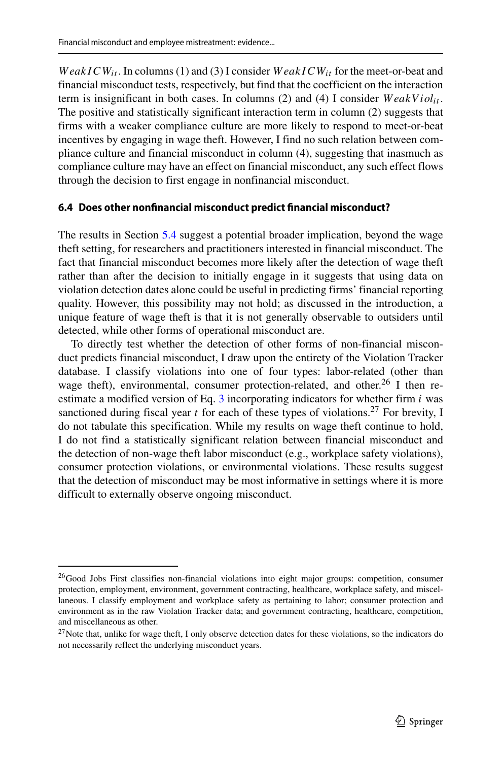*WeakICW<sub>it</sub>*. In columns (1) and (3) I consider *WeakICW*<sub>it</sub> for the meet-or-beat and financial misconduct tests, respectively, but find that the coefficient on the interaction term is insignificant in both cases. In columns  $(2)$  and  $(4)$  I consider  $WeakViol_{it}$ . The positive and statistically significant interaction term in column (2) suggests that firms with a weaker compliance culture are more likely to respond to meet-or-beat incentives by engaging in wage theft. However, I find no such relation between compliance culture and financial misconduct in column (4), suggesting that inasmuch as compliance culture may have an effect on financial misconduct, any such effect flows through the decision to first engage in nonfinancial misconduct.

#### **6.4 Does other nonfinancial misconduct predict financial misconduct?**

The results in Section [5.4](#page-21-1) suggest a potential broader implication, beyond the wage theft setting, for researchers and practitioners interested in financial misconduct. The fact that financial misconduct becomes more likely after the detection of wage theft rather than after the decision to initially engage in it suggests that using data on violation detection dates alone could be useful in predicting firms' financial reporting quality. However, this possibility may not hold; as discussed in the introduction, a unique feature of wage theft is that it is not generally observable to outsiders until detected, while other forms of operational misconduct are.

To directly test whether the detection of other forms of non-financial misconduct predicts financial misconduct, I draw upon the entirety of the Violation Tracker database. I classify violations into one of four types: labor-related (other than wage theft), environmental, consumer protection-related, and other.<sup>26</sup> I then reestimate a modified version of Eq. [3](#page-23-0) incorporating indicators for whether firm *i* was sanctioned during fiscal year  $t$  for each of these types of violations.<sup>27</sup> For brevity, I do not tabulate this specification. While my results on wage theft continue to hold, I do not find a statistically significant relation between financial misconduct and the detection of non-wage theft labor misconduct (e.g., workplace safety violations), consumer protection violations, or environmental violations. These results suggest that the detection of misconduct may be most informative in settings where it is more difficult to externally observe ongoing misconduct.

<span id="page-32-0"></span> $^{26}$ Good Jobs First classifies non-financial violations into eight major groups: competition, consumer protection, employment, environment, government contracting, healthcare, workplace safety, and miscellaneous. I classify employment and workplace safety as pertaining to labor; consumer protection and environment as in the raw Violation Tracker data; and government contracting, healthcare, competition, and miscellaneous as other.

<span id="page-32-1"></span><sup>&</sup>lt;sup>27</sup>Note that, unlike for wage theft, I only observe detection dates for these violations, so the indicators do not necessarily reflect the underlying misconduct years.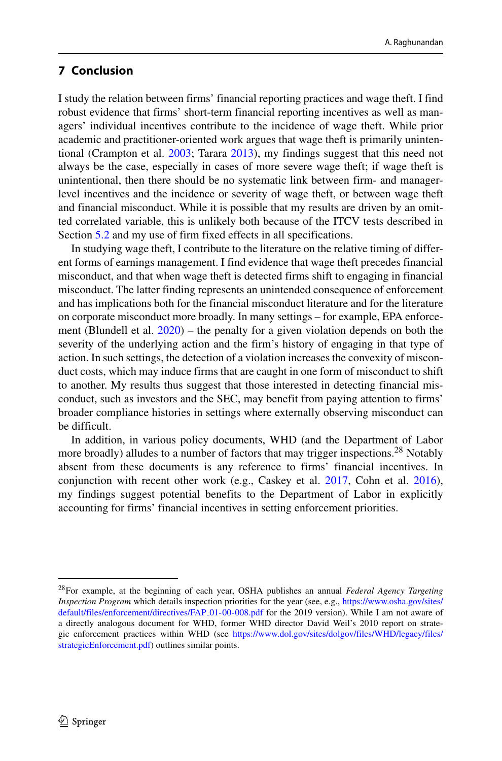## **7 Conclusion**

I study the relation between firms' financial reporting practices and wage theft. I find robust evidence that firms' short-term financial reporting incentives as well as managers' individual incentives contribute to the incidence of wage theft. While prior academic and practitioner-oriented work argues that wage theft is primarily unintentional (Crampton et al. [2003;](#page-37-29) Tarara [2013\)](#page-38-8), my findings suggest that this need not always be the case, especially in cases of more severe wage theft; if wage theft is unintentional, then there should be no systematic link between firm- and managerlevel incentives and the incidence or severity of wage theft, or between wage theft and financial misconduct. While it is possible that my results are driven by an omitted correlated variable, this is unlikely both because of the ITCV tests described in Section [5.2](#page-14-1) and my use of firm fixed effects in all specifications.

In studying wage theft, I contribute to the literature on the relative timing of different forms of earnings management. I find evidence that wage theft precedes financial misconduct, and that when wage theft is detected firms shift to engaging in financial misconduct. The latter finding represents an unintended consequence of enforcement and has implications both for the financial misconduct literature and for the literature on corporate misconduct more broadly. In many settings – for example, EPA enforcement (Blundell et al. [2020\)](#page-36-7) – the penalty for a given violation depends on both the severity of the underlying action and the firm's history of engaging in that type of action. In such settings, the detection of a violation increases the convexity of misconduct costs, which may induce firms that are caught in one form of misconduct to shift to another. My results thus suggest that those interested in detecting financial misconduct, such as investors and the SEC, may benefit from paying attention to firms' broader compliance histories in settings where externally observing misconduct can be difficult.

In addition, in various policy documents, WHD (and the Department of Labor more broadly) alludes to a number of factors that may trigger inspections.<sup>28</sup> Notably absent from these documents is any reference to firms' financial incentives. In conjunction with recent other work (e.g., Caskey et al. [2017,](#page-37-3) Cohn et al. [2016\)](#page-37-17), my findings suggest potential benefits to the Department of Labor in explicitly accounting for firms' financial incentives in setting enforcement priorities.

<span id="page-33-0"></span><sup>28</sup>For example, at the beginning of each year, OSHA publishes an annual *Federal Agency Targeting Inspection Program* which details inspection priorities for the year (see, e.g., [https://www.osha.gov/sites/](https://www.osha.gov/sites/default/files/enforcement/directives/FAP_01-00-008.pdf) [default/files/enforcement/directives/FAP](https://www.osha.gov/sites/default/files/enforcement/directives/FAP_01-00-008.pdf)\_01-00-008.pdf for the 2019 version). While I am not aware of a directly analogous document for WHD, former WHD director David Weil's 2010 report on strategic enforcement practices within WHD (see [https://www.dol.gov/sites/dolgov/files/WHD/legacy/files/](https://www.dol.gov/sites/dolgov/files/WHD/legacy/files/strategicEnforcement.pdf) [strategicEnforcement.pdf\)](https://www.dol.gov/sites/dolgov/files/WHD/legacy/files/strategicEnforcement.pdf) outlines similar points.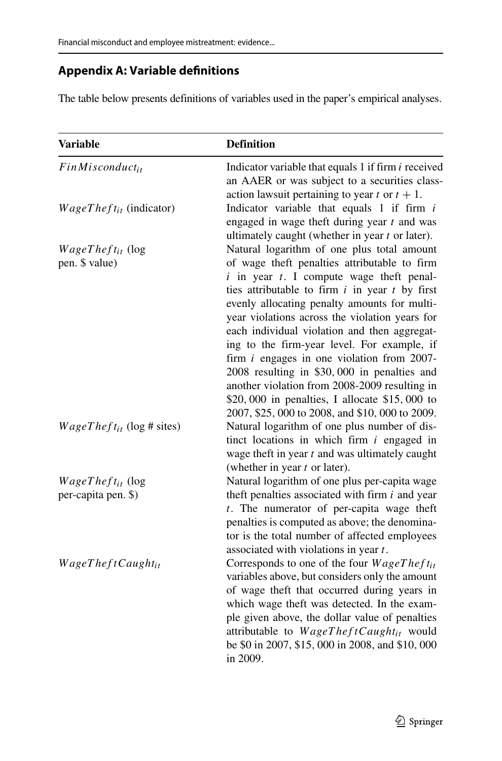# <span id="page-34-0"></span>**Appendix A: Variable definitions**

The table below presents definitions of variables used in the paper's empirical analyses.

| <b>Variable</b>                                | <b>Definition</b>                                                                                                                                                                                                                                                                                                                                                                                                                                                                                                                                                                                                                                      |
|------------------------------------------------|--------------------------------------------------------------------------------------------------------------------------------------------------------------------------------------------------------------------------------------------------------------------------------------------------------------------------------------------------------------------------------------------------------------------------------------------------------------------------------------------------------------------------------------------------------------------------------------------------------------------------------------------------------|
| $FinMisconduct_{it}$                           | Indicator variable that equals 1 if firm <i>i</i> received<br>an AAER or was subject to a securities class-<br>action lawsuit pertaining to year t or $t + 1$ .                                                                                                                                                                                                                                                                                                                                                                                                                                                                                        |
| $WageThe ft_{it}$ (indicator)                  | Indicator variable that equals $1$ if firm $i$<br>engaged in wage theft during year $t$ and was<br>ultimately caught (whether in year $t$ or later).                                                                                                                                                                                                                                                                                                                                                                                                                                                                                                   |
| $WageThe fit_{it}$ (log<br>pen. \$ value)      | Natural logarithm of one plus total amount<br>of wage theft penalties attributable to firm<br>$i$ in year $t$ . I compute wage theft penal-<br>ties attributable to firm $i$ in year $t$ by first<br>evenly allocating penalty amounts for multi-<br>year violations across the violation years for<br>each individual violation and then aggregat-<br>ing to the firm-year level. For example, if<br>firm $i$ engages in one violation from 2007-<br>2008 resulting in \$30,000 in penalties and<br>another violation from 2008-2009 resulting in<br>\$20,000 in penalties, I allocate \$15,000 to<br>2007, \$25, 000 to 2008, and \$10, 000 to 2009. |
| $WageTheft_{it}$ (log # sites)                 | Natural logarithm of one plus number of dis-<br>tinct locations in which firm $i$ engaged in<br>wage theft in year $t$ and was ultimately caught<br>(whether in year $t$ or later).                                                                                                                                                                                                                                                                                                                                                                                                                                                                    |
| $WageThe fit_{it}$ (log<br>per-capita pen. \$) | Natural logarithm of one plus per-capita wage<br>theft penalties associated with firm $i$ and year<br>t. The numerator of per-capita wage theft<br>penalties is computed as above; the denomina-<br>tor is the total number of affected employees<br>associated with violations in year $t$ .                                                                                                                                                                                                                                                                                                                                                          |
| WageTheftCaughtit                              | Corresponds to one of the four WageTheftit<br>variables above, but considers only the amount<br>of wage theft that occurred during years in<br>which wage theft was detected. In the exam-<br>ple given above, the dollar value of penalties<br>attributable to WageTheftCaught <sub>it</sub> would<br>be \$0 in 2007, \$15, 000 in 2008, and \$10, 000<br>in 2009.                                                                                                                                                                                                                                                                                    |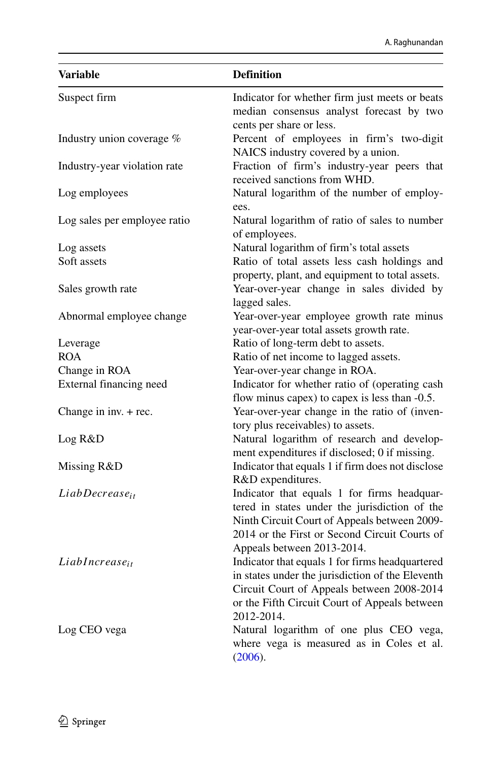| <b>Variable</b>              | <b>Definition</b>                                                                                                                                                                                                           |
|------------------------------|-----------------------------------------------------------------------------------------------------------------------------------------------------------------------------------------------------------------------------|
| Suspect firm                 | Indicator for whether firm just meets or beats<br>median consensus analyst forecast by two<br>cents per share or less.                                                                                                      |
| Industry union coverage %    | Percent of employees in firm's two-digit<br>NAICS industry covered by a union.                                                                                                                                              |
| Industry-year violation rate | Fraction of firm's industry-year peers that<br>received sanctions from WHD.                                                                                                                                                 |
| Log employees                | Natural logarithm of the number of employ-<br>ees.                                                                                                                                                                          |
| Log sales per employee ratio | Natural logarithm of ratio of sales to number<br>of employees.                                                                                                                                                              |
| Log assets                   | Natural logarithm of firm's total assets                                                                                                                                                                                    |
| Soft assets                  | Ratio of total assets less cash holdings and                                                                                                                                                                                |
| Sales growth rate            | property, plant, and equipment to total assets.<br>Year-over-year change in sales divided by<br>lagged sales.                                                                                                               |
| Abnormal employee change     | Year-over-year employee growth rate minus<br>year-over-year total assets growth rate.                                                                                                                                       |
| Leverage                     | Ratio of long-term debt to assets.                                                                                                                                                                                          |
| <b>ROA</b>                   | Ratio of net income to lagged assets.                                                                                                                                                                                       |
| Change in ROA                | Year-over-year change in ROA.                                                                                                                                                                                               |
| External financing need      | Indicator for whether ratio of (operating cash<br>flow minus capex) to capex is less than -0.5.                                                                                                                             |
| Change in inv. $+$ rec.      | Year-over-year change in the ratio of (inven-<br>tory plus receivables) to assets.                                                                                                                                          |
| Log R&D                      | Natural logarithm of research and develop-<br>ment expenditures if disclosed; 0 if missing.                                                                                                                                 |
| Missing R&D                  | Indicator that equals 1 if firm does not disclose<br>R&D expenditures.                                                                                                                                                      |
| LiabDecrease <sub>it</sub>   | Indicator that equals 1 for firms headquar-<br>tered in states under the jurisdiction of the<br>Ninth Circuit Court of Appeals between 2009-<br>2014 or the First or Second Circuit Courts of<br>Appeals between 2013-2014. |
| $LiabIncrease_{it}$          | Indicator that equals 1 for firms headquartered<br>in states under the jurisdiction of the Eleventh<br>Circuit Court of Appeals between 2008-2014<br>or the Fifth Circuit Court of Appeals between<br>2012-2014.            |
| Log CEO vega                 | Natural logarithm of one plus CEO vega,<br>where vega is measured as in Coles et al.<br>(2006).                                                                                                                             |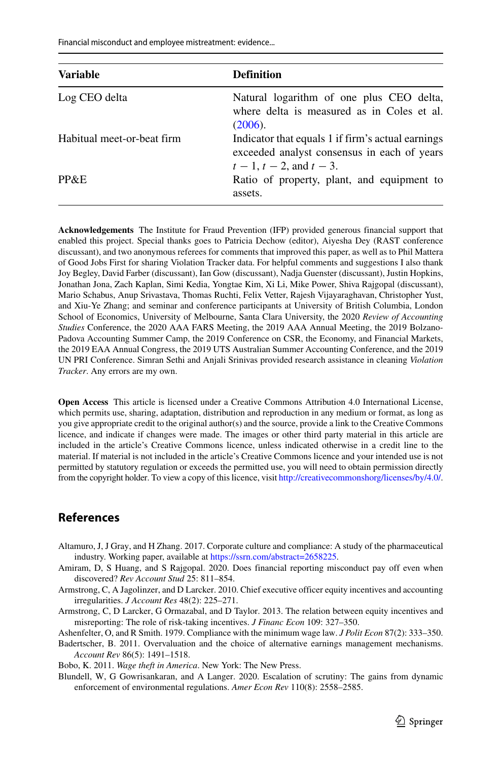Financial misconduct and employee mistreatment: evidence...

| <b>Variable</b>            | <b>Definition</b>                                                                                                               |  |  |
|----------------------------|---------------------------------------------------------------------------------------------------------------------------------|--|--|
| Log CEO delta              | Natural logarithm of one plus CEO delta,<br>where delta is measured as in Coles et al.<br>(2006).                               |  |  |
| Habitual meet-or-beat firm | Indicator that equals 1 if firm's actual earnings<br>exceeded analyst consensus in each of years<br>$t-1$ , $t-2$ , and $t-3$ . |  |  |
| PP&E                       | Ratio of property, plant, and equipment to<br>assets.                                                                           |  |  |

**Acknowledgements** The Institute for Fraud Prevention (IFP) provided generous financial support that enabled this project. Special thanks goes to Patricia Dechow (editor), Aiyesha Dey (RAST conference discussant), and two anonymous referees for comments that improved this paper, as well as to Phil Mattera of Good Jobs First for sharing Violation Tracker data. For helpful comments and suggestions I also thank Joy Begley, David Farber (discussant), Ian Gow (discussant), Nadja Guenster (discussant), Justin Hopkins, Jonathan Jona, Zach Kaplan, Simi Kedia, Yongtae Kim, Xi Li, Mike Power, Shiva Rajgopal (discussant), Mario Schabus, Anup Srivastava, Thomas Ruchti, Felix Vetter, Rajesh Vijayaraghavan, Christopher Yust, and Xiu-Ye Zhang; and seminar and conference participants at University of British Columbia, London School of Economics, University of Melbourne, Santa Clara University, the 2020 *Review of Accounting Studies* Conference, the 2020 AAA FARS Meeting, the 2019 AAA Annual Meeting, the 2019 Bolzano-Padova Accounting Summer Camp, the 2019 Conference on CSR, the Economy, and Financial Markets, the 2019 EAA Annual Congress, the 2019 UTS Australian Summer Accounting Conference, and the 2019 UN PRI Conference. Simran Sethi and Anjali Srinivas provided research assistance in cleaning *Violation Tracker*. Any errors are my own.

**Open Access** This article is licensed under a Creative Commons Attribution 4.0 International License, which permits use, sharing, adaptation, distribution and reproduction in any medium or format, as long as you give appropriate credit to the original author(s) and the source, provide a link to the Creative Commons licence, and indicate if changes were made. The images or other third party material in this article are included in the article's Creative Commons licence, unless indicated otherwise in a credit line to the material. If material is not included in the article's Creative Commons licence and your intended use is not permitted by statutory regulation or exceeds the permitted use, you will need to obtain permission directly from the copyright holder. To view a copy of this licence, visit [http://creativecommonshorg/licenses/by/4.0/.](http://creativecommonshorg/licenses/by/4.0/)

#### **References**

- <span id="page-36-4"></span>Altamuro, J, J Gray, and H Zhang. 2017. Corporate culture and compliance: A study of the pharmaceutical industry. Working paper, available at [https://ssrn.com/abstract=2658225.](https://ssrn.com/abstract=2658225)
- <span id="page-36-2"></span>Amiram, D, S Huang, and S Rajgopal. 2020. Does financial reporting misconduct pay off even when discovered? *Rev Account Stud* 25: 811–854.
- <span id="page-36-5"></span>Armstrong, C, A Jagolinzer, and D Larcker. 2010. Chief executive officer equity incentives and accounting irregularities. *J Account Res* 48(2): 225–271.
- <span id="page-36-6"></span>Armstrong, C, D Larcker, G Ormazabal, and D Taylor. 2013. The relation between equity incentives and misreporting: The role of risk-taking incentives. *J Financ Econ* 109: 327–350.

<span id="page-36-1"></span>Ashenfelter, O, and R Smith. 1979. Compliance with the minimum wage law. *J Polit Econ* 87(2): 333–350.

<span id="page-36-3"></span>Badertscher, B. 2011. Overvaluation and the choice of alternative earnings management mechanisms. *Account Rev* 86(5): 1491–1518.

<span id="page-36-0"></span>Bobo, K. 2011. *Wage theft in America*. New York: The New Press.

<span id="page-36-7"></span>Blundell, W, G Gowrisankaran, and A Langer. 2020. Escalation of scrutiny: The gains from dynamic enforcement of environmental regulations. *Amer Econ Rev* 110(8): 2558–2585.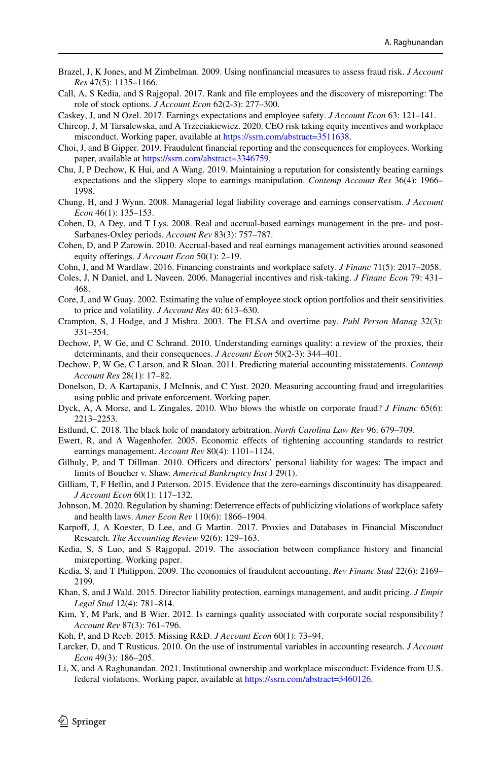- <span id="page-37-25"></span>Brazel, J, K Jones, and M Zimbelman. 2009. Using nonfinancial measures to assess fraud risk. *J Account Res* 47(5): 1135–1166.
- <span id="page-37-16"></span>Call, A, S Kedia, and S Rajgopal. 2017. Rank and file employees and the discovery of misreporting: The role of stock options. *J Account Econ* 62(2-3): 277–300.
- <span id="page-37-3"></span>Caskey, J, and N Ozel. 2017. Earnings expectations and employee safety. *J Account Econ* 63: 121–141.
- <span id="page-37-6"></span>Chircop, J, M Tarsalewska, and A Trzeciakiewicz. 2020. CEO risk taking equity incentives and workplace misconduct. Working paper, available at [https://ssrn.com/abstract=3511638.](https://ssrn.com/abstract=3511638)
- <span id="page-37-27"></span>Choi, J, and B Gipper. 2019. Fraudulent financial reporting and the consequences for employees. Working paper, available at [https://ssrn.com/abstract=3346759.](https://ssrn.com/abstract=3346759)
- <span id="page-37-1"></span>Chu, J, P Dechow, K Hui, and A Wang. 2019. Maintaining a reputation for consistently beating earnings expectations and the slippery slope to earnings manipulation. *Contemp Account Res* 36(4): 1966– 1998.
- <span id="page-37-7"></span>Chung, H, and J Wynn. 2008. Managerial legal liability coverage and earnings conservatism. *J Account Econ* 46(1): 135–153.
- <span id="page-37-18"></span>Cohen, D, A Dey, and T Lys. 2008. Real and accrual-based earnings management in the pre- and post-Sarbanes-Oxley periods. *Account Rev* 83(3): 757–787.
- <span id="page-37-8"></span>Cohen, D, and P Zarowin. 2010. Accrual-based and real earnings management activities around seasoned equity offerings. *J Account Econ* 50(1): 2–19.
- <span id="page-37-17"></span>Cohn, J, and M Wardlaw. 2016. Financing constraints and workplace safety. *J Financ* 71(5): 2017–2058.
- <span id="page-37-5"></span>Coles, J, N Daniel, and L Naveen. 2006. Managerial incentives and risk-taking. *J Financ Econ* 79: 431– 468.
- <span id="page-37-4"></span>Core, J, and W Guay. 2002. Estimating the value of employee stock option portfolios and their sensitivities to price and volatility. *J Account Res* 40: 613–630.
- <span id="page-37-29"></span>Crampton, S, J Hodge, and J Mishra. 2003. The FLSA and overtime pay. *Publ Person Manag* 32(3): 331–354.
- <span id="page-37-0"></span>Dechow, P, W Ge, and C Schrand. 2010. Understanding earnings quality: a review of the proxies, their determinants, and their consequences. *J Account Econ* 50(2-3): 344–401.
- <span id="page-37-23"></span>Dechow, P, W Ge, C Larson, and R Sloan. 2011. Predicting material accounting misstatements. *Contemp Account Res* 28(1): 17–82.
- <span id="page-37-20"></span>Donelson, D, A Kartapanis, J McInnis, and C Yust. 2020. Measuring accounting fraud and irregularities using public and private enforcement. Working paper.
- <span id="page-37-22"></span>Dyck, A, A Morse, and L Zingales. 2010. Who blows the whistle on corporate fraud? *J Financ* 65(6): 2213–2253.
- <span id="page-37-2"></span>Estlund, C. 2018. The black hole of mandatory arbitration. *North Carolina Law Rev* 96: 679–709.
- <span id="page-37-10"></span>Ewert, R, and A Wagenhofer. 2005. Economic effects of tightening accounting standards to restrict earnings management. *Account Rev* 80(4): 1101–1124.
- <span id="page-37-11"></span>Gilhuly, P, and T Dillman. 2010. Officers and directors' personal liability for wages: The impact and limits of Boucher v. Shaw. *Americal Bankruptcy Inst* J 29(1).
- <span id="page-37-19"></span>Gilliam, T, F Heflin, and J Paterson. 2015. Evidence that the zero-earnings discontinuity has disappeared. *J Account Econ* 60(1): 117–132.
- <span id="page-37-13"></span>Johnson, M. 2020. Regulation by shaming: Deterrence effects of publicizing violations of workplace safety and health laws. *Amer Econ Rev* 110(6): 1866–1904.
- <span id="page-37-21"></span>Karpoff, J, A Koester, D Lee, and G Martin. 2017. Proxies and Databases in Financial Misconduct Research. *The Accounting Review* 92(6): 129–163.
- <span id="page-37-12"></span>Kedia, S, S Luo, and S Rajgopal. 2019. The association between compliance history and financial misreporting. Working paper.
- <span id="page-37-15"></span>Kedia, S, and T Philippon. 2009. The economics of fraudulent accounting. *Rev Financ Stud* 22(6): 2169– 2199.
- <span id="page-37-9"></span>Khan, S, and J Wald. 2015. Director liability protection, earnings management, and audit pricing. *J Empir Legal Stud* 12(4): 781–814.
- <span id="page-37-28"></span>Kim, Y, M Park, and B Wier. 2012. Is earnings quality associated with corporate social responsibility? *Account Rev* 87(3): 761–796.
- <span id="page-37-24"></span>Koh, P, and D Reeb. 2015. Missing R&D. *J Account Econ* 60(1): 73–94.
- <span id="page-37-26"></span>Larcker, D, and T Rusticus. 2010. On the use of instrumental variables in accounting research. *J Account Econ* 49(3): 186–205.
- <span id="page-37-14"></span>Li, X, and A Raghunandan. 2021. Institutional ownership and workplace misconduct: Evidence from U.S. federal violations. Working paper, available at [https://ssrn.com/abstract=3460126.](https://ssrn.com/abstract=3460126)